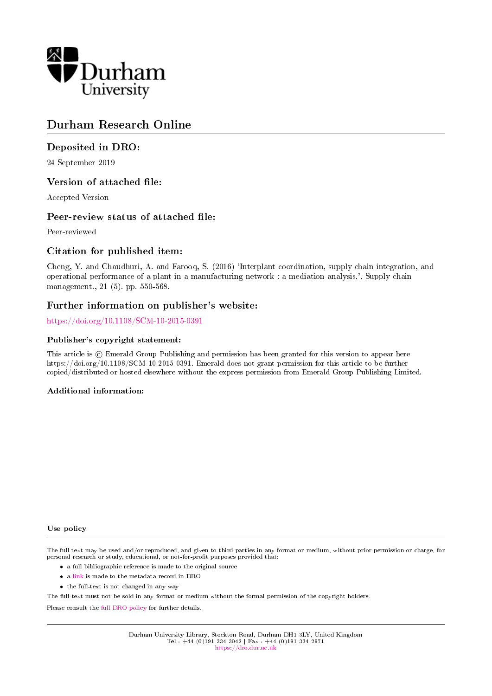

# Durham Research Online

# Deposited in DRO:

24 September 2019

## Version of attached file:

Accepted Version

## Peer-review status of attached file:

Peer-reviewed

## Citation for published item:

Cheng, Y. and Chaudhuri, A. and Farooq, S. (2016) 'Interplant coordination, supply chain integration, and operational performance of a plant in a manufacturing network : a mediation analysis.', Supply chain management., 21 (5). pp. 550-568.

### Further information on publisher's website:

<https://doi.org/10.1108/SCM-10-2015-0391>

#### Publisher's copyright statement:

This article is  $\odot$  Emerald Group Publishing and permission has been granted for this version to appear here https://doi.org/10.1108/SCM-10-2015-0391. Emerald does not grant permission for this article to be further copied/distributed or hosted elsewhere without the express permission from Emerald Group Publishing Limited.

#### Additional information:

#### Use policy

The full-text may be used and/or reproduced, and given to third parties in any format or medium, without prior permission or charge, for personal research or study, educational, or not-for-profit purposes provided that:

- a full bibliographic reference is made to the original source
- a [link](http://dro.dur.ac.uk/29148/) is made to the metadata record in DRO
- the full-text is not changed in any way

The full-text must not be sold in any format or medium without the formal permission of the copyright holders.

Please consult the [full DRO policy](https://dro.dur.ac.uk/policies/usepolicy.pdf) for further details.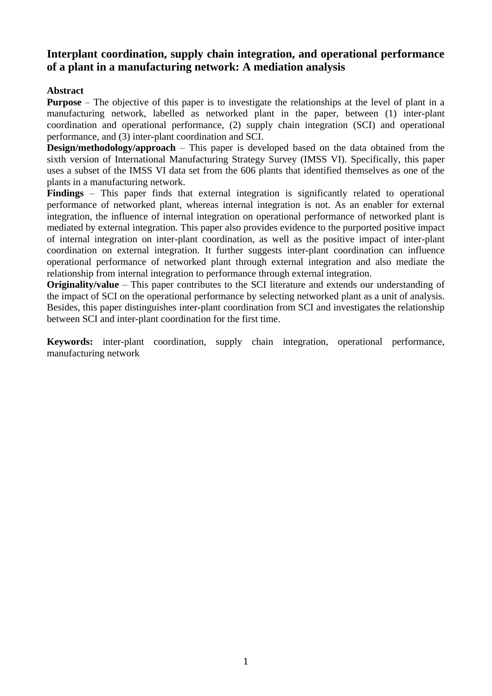# **Interplant coordination, supply chain integration, and operational performance of a plant in a manufacturing network: A mediation analysis**

# **Abstract**

**Purpose** – The objective of this paper is to investigate the relationships at the level of plant in a manufacturing network, labelled as networked plant in the paper, between (1) inter-plant coordination and operational performance, (2) supply chain integration (SCI) and operational performance, and (3) inter-plant coordination and SCI.

**Design/methodology/approach** – This paper is developed based on the data obtained from the sixth version of International Manufacturing Strategy Survey (IMSS VI). Specifically, this paper uses a subset of the IMSS VI data set from the 606 plants that identified themselves as one of the plants in a manufacturing network.

**Findings** – This paper finds that external integration is significantly related to operational performance of networked plant, whereas internal integration is not. As an enabler for external integration, the influence of internal integration on operational performance of networked plant is mediated by external integration. This paper also provides evidence to the purported positive impact of internal integration on inter-plant coordination, as well as the positive impact of inter-plant coordination on external integration. It further suggests inter-plant coordination can influence operational performance of networked plant through external integration and also mediate the relationship from internal integration to performance through external integration.

**Originality/value** – This paper contributes to the SCI literature and extends our understanding of the impact of SCI on the operational performance by selecting networked plant as a unit of analysis. Besides, this paper distinguishes inter-plant coordination from SCI and investigates the relationship between SCI and inter-plant coordination for the first time.

**Keywords:** inter-plant coordination, supply chain integration, operational performance, manufacturing network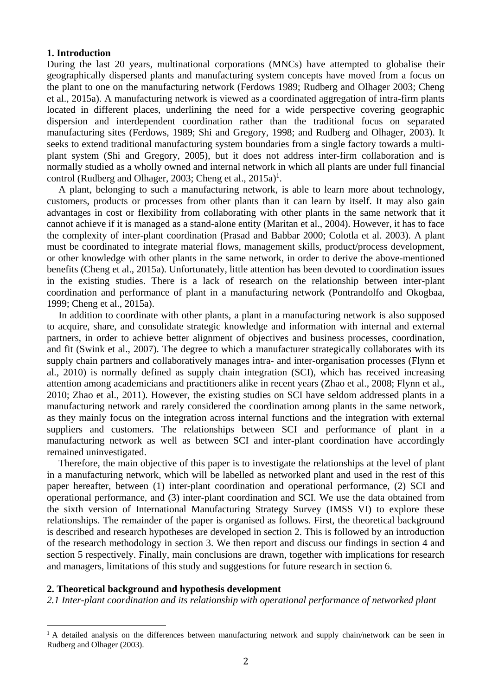#### **1. Introduction**

During the last 20 years, multinational corporations (MNCs) have attempted to globalise their geographically dispersed plants and manufacturing system concepts have moved from a focus on the plant to one on the manufacturing network (Ferdows 1989; Rudberg and Olhager 2003; Cheng et al., 2015a). A manufacturing network is viewed as a coordinated aggregation of intra-firm plants located in different places, underlining the need for a wide perspective covering geographic dispersion and interdependent coordination rather than the traditional focus on separated manufacturing sites (Ferdows, 1989; Shi and Gregory, 1998; and Rudberg and Olhager, 2003). It seeks to extend traditional manufacturing system boundaries from a single factory towards a multiplant system (Shi and Gregory, 2005), but it does not address inter-firm collaboration and is normally studied as a wholly owned and internal network in which all plants are under full financial control (Rudberg and Olhager, 2003; Cheng et al., 2015a)<sup>1</sup>.

A plant, belonging to such a manufacturing network, is able to learn more about technology, customers, products or processes from other plants than it can learn by itself. It may also gain advantages in cost or flexibility from collaborating with other plants in the same network that it cannot achieve if it is managed as a stand-alone entity (Maritan et al., 2004). However, it has to face the complexity of inter-plant coordination (Prasad and Babbar 2000; Colotla et al. 2003). A plant must be coordinated to integrate material flows, management skills, product/process development, or other knowledge with other plants in the same network, in order to derive the above-mentioned benefits (Cheng et al., 2015a). Unfortunately, little attention has been devoted to coordination issues in the existing studies. There is a lack of research on the relationship between inter-plant coordination and performance of plant in a manufacturing network (Pontrandolfo and Okogbaa, 1999; Cheng et al., 2015a).

In addition to coordinate with other plants, a plant in a manufacturing network is also supposed to acquire, share, and consolidate strategic knowledge and information with internal and external partners, in order to achieve better alignment of objectives and business processes, coordination, and fit (Swink et al., 2007). The degree to which a manufacturer strategically collaborates with its supply chain partners and collaboratively manages intra- and inter-organisation processes (Flynn et al., 2010) is normally defined as supply chain integration (SCI), which has received increasing attention among academicians and practitioners alike in recent years (Zhao et al., 2008; Flynn et al., 2010; Zhao et al., 2011). However, the existing studies on SCI have seldom addressed plants in a manufacturing network and rarely considered the coordination among plants in the same network, as they mainly focus on the integration across internal functions and the integration with external suppliers and customers. The relationships between SCI and performance of plant in a manufacturing network as well as between SCI and inter-plant coordination have accordingly remained uninvestigated.

Therefore, the main objective of this paper is to investigate the relationships at the level of plant in a manufacturing network, which will be labelled as networked plant and used in the rest of this paper hereafter, between (1) inter-plant coordination and operational performance, (2) SCI and operational performance, and (3) inter-plant coordination and SCI. We use the data obtained from the sixth version of International Manufacturing Strategy Survey (IMSS VI) to explore these relationships. The remainder of the paper is organised as follows. First, the theoretical background is described and research hypotheses are developed in section 2. This is followed by an introduction of the research methodology in section 3. We then report and discuss our findings in section 4 and section 5 respectively. Finally, main conclusions are drawn, together with implications for research and managers, limitations of this study and suggestions for future research in section 6.

### **2. Theoretical background and hypothesis development**

1

*2.1 Inter-plant coordination and its relationship with operational performance of networked plant*

<sup>&</sup>lt;sup>1</sup> A detailed analysis on the differences between manufacturing network and supply chain/network can be seen in Rudberg and Olhager (2003).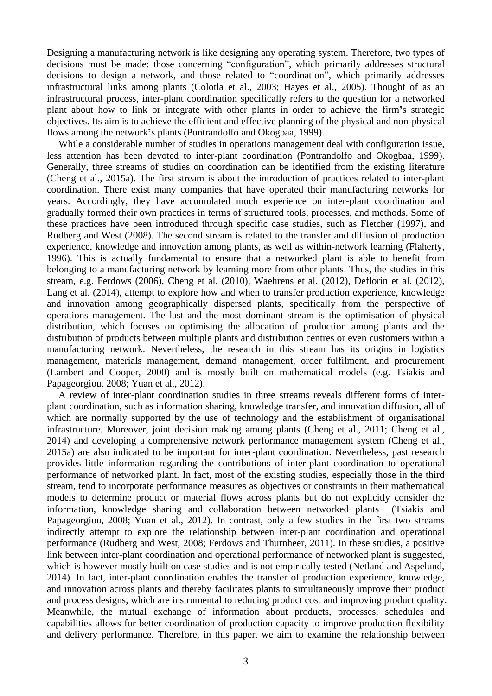Designing a manufacturing network is like designing any operating system. Therefore, two types of decisions must be made: those concerning "configuration", which primarily addresses structural decisions to design a network, and those related to "coordination", which primarily addresses infrastructural links among plants (Colotla et al., 2003; Hayes et al., 2005). Thought of as an infrastructural process, inter-plant coordination specifically refers to the question for a networked plant about how to link or integrate with other plants in order to achieve the firm**'**s strategic objectives. Its aim is to achieve the efficient and effective planning of the physical and non-physical flows among the network**'**s plants (Pontrandolfo and Okogbaa, 1999).

While a considerable number of studies in operations management deal with configuration issue, less attention has been devoted to inter-plant coordination (Pontrandolfo and Okogbaa, 1999). Generally, three streams of studies on coordination can be identified from the existing literature (Cheng et al., 2015a). The first stream is about the introduction of practices related to inter-plant coordination. There exist many companies that have operated their manufacturing networks for years. Accordingly, they have accumulated much experience on inter-plant coordination and gradually formed their own practices in terms of structured tools, processes, and methods. Some of these practices have been introduced through specific case studies, such as Fletcher (1997), and Rudberg and West (2008). The second stream is related to the transfer and diffusion of production experience, knowledge and innovation among plants, as well as within-network learning (Flaherty, 1996). This is actually fundamental to ensure that a networked plant is able to benefit from belonging to a manufacturing network by learning more from other plants. Thus, the studies in this stream, e.g. Ferdows (2006), Cheng et al. (2010), Waehrens et al. (2012), Deflorin et al. (2012), Lang et al. (2014), attempt to explore how and when to transfer production experience, knowledge and innovation among geographically dispersed plants, specifically from the perspective of operations management. The last and the most dominant stream is the optimisation of physical distribution, which focuses on optimising the allocation of production among plants and the distribution of products between multiple plants and distribution centres or even customers within a manufacturing network. Nevertheless, the research in this stream has its origins in logistics management, materials management, demand management, order fulfilment, and procurement (Lambert and Cooper, 2000) and is mostly built on mathematical models (e.g. Tsiakis and Papageorgiou, 2008; Yuan et al., 2012).

A review of inter-plant coordination studies in three streams reveals different forms of interplant coordination, such as information sharing, knowledge transfer, and innovation diffusion, all of which are normally supported by the use of technology and the establishment of organisational infrastructure. Moreover, joint decision making among plants (Cheng et al., 2011; Cheng et al., 2014) and developing a comprehensive network performance management system (Cheng et al., 2015a) are also indicated to be important for inter-plant coordination. Nevertheless, past research provides little information regarding the contributions of inter-plant coordination to operational performance of networked plant. In fact, most of the existing studies, especially those in the third stream, tend to incorporate performance measures as objectives or constraints in their mathematical models to determine product or material flows across plants but do not explicitly consider the information, knowledge sharing and collaboration between networked plants (Tsiakis and Papageorgiou, 2008; Yuan et al., 2012). In contrast, only a few studies in the first two streams indirectly attempt to explore the relationship between inter-plant coordination and operational performance (Rudberg and West, 2008; Ferdows and Thurnheer, 2011). In these studies, a positive link between inter-plant coordination and operational performance of networked plant is suggested, which is however mostly built on case studies and is not empirically tested (Netland and Aspelund, 2014). In fact, inter-plant coordination enables the transfer of production experience, knowledge, and innovation across plants and thereby facilitates plants to simultaneously improve their product and process designs, which are instrumental to reducing product cost and improving product quality. Meanwhile, the mutual exchange of information about products, processes, schedules and capabilities allows for better coordination of production capacity to improve production flexibility and delivery performance. Therefore, in this paper, we aim to examine the relationship between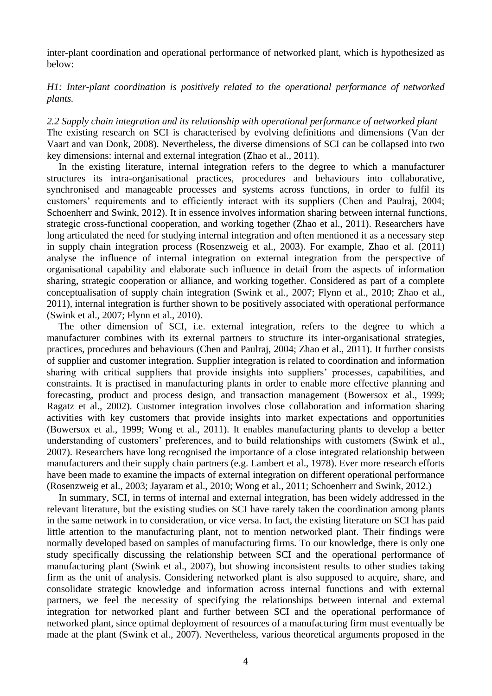inter-plant coordination and operational performance of networked plant, which is hypothesized as below:

*H1: Inter-plant coordination is positively related to the operational performance of networked plants.* 

*2.2 Supply chain integration and its relationship with operational performance of networked plant* The existing research on SCI is characterised by evolving definitions and dimensions (Van der Vaart and van Donk, 2008). Nevertheless, the diverse dimensions of SCI can be collapsed into two key dimensions: internal and external integration (Zhao et al., 2011).

In the existing literature, internal integration refers to the degree to which a manufacturer structures its intra-organisational practices, procedures and behaviours into collaborative, synchronised and manageable processes and systems across functions, in order to fulfil its customers' requirements and to efficiently interact with its suppliers (Chen and Paulraj, 2004; Schoenherr and Swink, 2012). It in essence involves information sharing between internal functions, strategic cross-functional cooperation, and working together (Zhao et al., 2011). Researchers have long articulated the need for studying internal integration and often mentioned it as a necessary step in supply chain integration process (Rosenzweig et al., 2003). For example, Zhao et al. (2011) analyse the influence of internal integration on external integration from the perspective of organisational capability and elaborate such influence in detail from the aspects of information sharing, strategic cooperation or alliance, and working together. Considered as part of a complete conceptualisation of supply chain integration (Swink et al., 2007; Flynn et al., 2010; Zhao et al., 2011), internal integration is further shown to be positively associated with operational performance (Swink et al., 2007; Flynn et al., 2010).

The other dimension of SCI, i.e. external integration, refers to the degree to which a manufacturer combines with its external partners to structure its inter-organisational strategies, practices, procedures and behaviours (Chen and Paulraj, 2004; Zhao et al., 2011). It further consists of supplier and customer integration. Supplier integration is related to coordination and information sharing with critical suppliers that provide insights into suppliers' processes, capabilities, and constraints. It is practised in manufacturing plants in order to enable more effective planning and forecasting, product and process design, and transaction management (Bowersox et al., 1999; Ragatz et al., 2002). Customer integration involves close collaboration and information sharing activities with key customers that provide insights into market expectations and opportunities (Bowersox et al., 1999; Wong et al., 2011). It enables manufacturing plants to develop a better understanding of customers' preferences, and to build relationships with customers (Swink et al., 2007). Researchers have long recognised the importance of a close integrated relationship between manufacturers and their supply chain partners (e.g. Lambert et al., 1978). Ever more research efforts have been made to examine the impacts of external integration on different operational performance (Rosenzweig et al., 2003; Jayaram et al., 2010; Wong et al., 2011; Schoenherr and Swink, 2012.)

In summary, SCI, in terms of internal and external integration, has been widely addressed in the relevant literature, but the existing studies on SCI have rarely taken the coordination among plants in the same network in to consideration, or vice versa. In fact, the existing literature on SCI has paid little attention to the manufacturing plant, not to mention networked plant. Their findings were normally developed based on samples of manufacturing firms. To our knowledge, there is only one study specifically discussing the relationship between SCI and the operational performance of manufacturing plant (Swink et al., 2007), but showing inconsistent results to other studies taking firm as the unit of analysis. Considering networked plant is also supposed to acquire, share, and consolidate strategic knowledge and information across internal functions and with external partners, we feel the necessity of specifying the relationships between internal and external integration for networked plant and further between SCI and the operational performance of networked plant, since optimal deployment of resources of a manufacturing firm must eventually be made at the plant (Swink et al., 2007). Nevertheless, various theoretical arguments proposed in the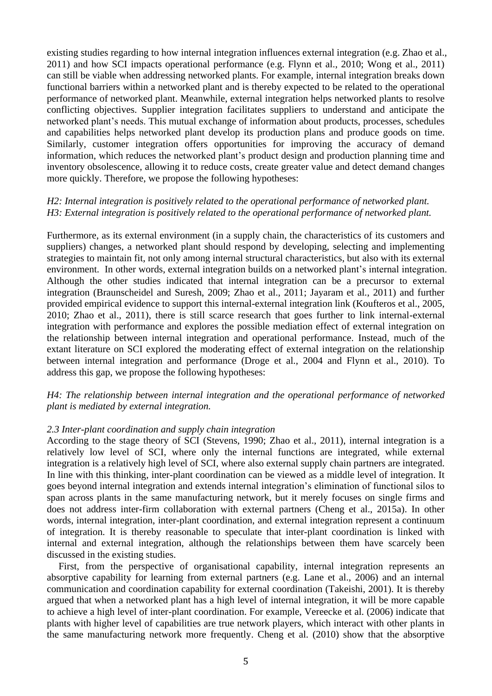existing studies regarding to how internal integration influences external integration (e.g. Zhao et al., 2011) and how SCI impacts operational performance (e.g. Flynn et al., 2010; Wong et al., 2011) can still be viable when addressing networked plants. For example, internal integration breaks down functional barriers within a networked plant and is thereby expected to be related to the operational performance of networked plant. Meanwhile, external integration helps networked plants to resolve conflicting objectives. Supplier integration facilitates suppliers to understand and anticipate the networked plant's needs. This mutual exchange of information about products, processes, schedules and capabilities helps networked plant develop its production plans and produce goods on time. Similarly, customer integration offers opportunities for improving the accuracy of demand information, which reduces the networked plant's product design and production planning time and inventory obsolescence, allowing it to reduce costs, create greater value and detect demand changes more quickly. Therefore, we propose the following hypotheses:

# *H2: Internal integration is positively related to the operational performance of networked plant. H3: External integration is positively related to the operational performance of networked plant.*

Furthermore, as its external environment (in a supply chain, the characteristics of its customers and suppliers) changes, a networked plant should respond by developing, selecting and implementing strategies to maintain fit, not only among internal structural characteristics, but also with its external environment. In other words, external integration builds on a networked plant's internal integration. Although the other studies indicated that internal integration can be a precursor to external integration (Braunscheidel and Suresh, 2009; Zhao et al., 2011; Jayaram et al., 2011) and further provided empirical evidence to support this internal-external integration link (Koufteros et al., 2005, 2010; Zhao et al., 2011), there is still scarce research that goes further to link internal-external integration with performance and explores the possible mediation effect of external integration on the relationship between internal integration and operational performance. Instead, much of the extant literature on SCI explored the moderating effect of external integration on the relationship between internal integration and performance (Droge et al., 2004 and Flynn et al., 2010). To address this gap, we propose the following hypotheses:

# *H4: The relationship between internal integration and the operational performance of networked plant is mediated by external integration.*

#### *2.3 Inter-plant coordination and supply chain integration*

According to the stage theory of SCI (Stevens, 1990; Zhao et al., 2011), internal integration is a relatively low level of SCI, where only the internal functions are integrated, while external integration is a relatively high level of SCI, where also external supply chain partners are integrated. In line with this thinking, inter-plant coordination can be viewed as a middle level of integration. It goes beyond internal integration and extends internal integration's elimination of functional silos to span across plants in the same manufacturing network, but it merely focuses on single firms and does not address inter-firm collaboration with external partners (Cheng et al., 2015a). In other words, internal integration, inter-plant coordination, and external integration represent a continuum of integration. It is thereby reasonable to speculate that inter-plant coordination is linked with internal and external integration, although the relationships between them have scarcely been discussed in the existing studies.

First, from the perspective of organisational capability, internal integration represents an absorptive capability for learning from external partners (e.g. Lane et al., 2006) and an internal communication and coordination capability for external coordination (Takeishi, 2001). It is thereby argued that when a networked plant has a high level of internal integration, it will be more capable to achieve a high level of inter-plant coordination. For example, Vereecke et al. (2006) indicate that plants with higher level of capabilities are true network players, which interact with other plants in the same manufacturing network more frequently. Cheng et al. (2010) show that the absorptive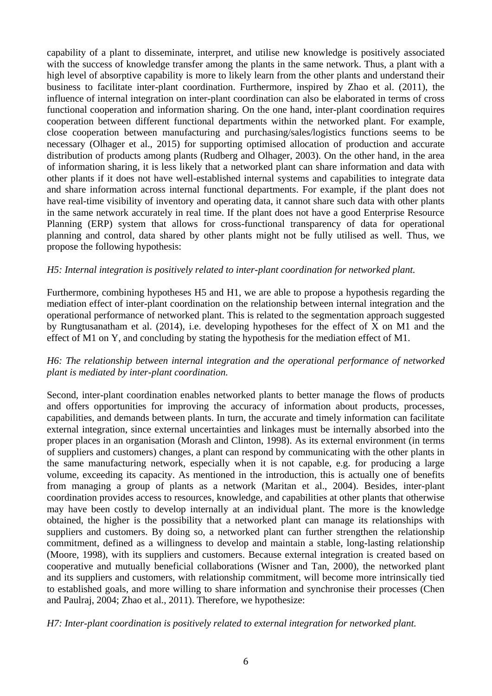capability of a plant to disseminate, interpret, and utilise new knowledge is positively associated with the success of knowledge transfer among the plants in the same network. Thus, a plant with a high level of absorptive capability is more to likely learn from the other plants and understand their business to facilitate inter-plant coordination. Furthermore, inspired by Zhao et al. (2011), the influence of internal integration on inter-plant coordination can also be elaborated in terms of cross functional cooperation and information sharing. On the one hand, inter-plant coordination requires cooperation between different functional departments within the networked plant. For example, close cooperation between manufacturing and purchasing/sales/logistics functions seems to be necessary (Olhager et al., 2015) for supporting optimised allocation of production and accurate distribution of products among plants (Rudberg and Olhager, 2003). On the other hand, in the area of information sharing, it is less likely that a networked plant can share information and data with other plants if it does not have well-established internal systems and capabilities to integrate data and share information across internal functional departments. For example, if the plant does not have real-time visibility of inventory and operating data, it cannot share such data with other plants in the same network accurately in real time. If the plant does not have a good Enterprise Resource Planning (ERP) system that allows for cross-functional transparency of data for operational planning and control, data shared by other plants might not be fully utilised as well. Thus, we propose the following hypothesis:

# *H5: Internal integration is positively related to inter-plant coordination for networked plant.*

Furthermore, combining hypotheses H5 and H1, we are able to propose a hypothesis regarding the mediation effect of inter-plant coordination on the relationship between internal integration and the operational performance of networked plant. This is related to the segmentation approach suggested by Rungtusanatham et al. (2014), i.e. developing hypotheses for the effect of X on M1 and the effect of M1 on Y, and concluding by stating the hypothesis for the mediation effect of M1.

# *H6: The relationship between internal integration and the operational performance of networked plant is mediated by inter-plant coordination.*

Second, inter-plant coordination enables networked plants to better manage the flows of products and offers opportunities for improving the accuracy of information about products, processes, capabilities, and demands between plants. In turn, the accurate and timely information can facilitate external integration, since external uncertainties and linkages must be internally absorbed into the proper places in an organisation (Morash and Clinton, 1998). As its external environment (in terms of suppliers and customers) changes, a plant can respond by communicating with the other plants in the same manufacturing network, especially when it is not capable, e.g. for producing a large volume, exceeding its capacity. As mentioned in the introduction, this is actually one of benefits from managing a group of plants as a network (Maritan et al., 2004). Besides, inter-plant coordination provides access to resources, knowledge, and capabilities at other plants that otherwise may have been costly to develop internally at an individual plant. The more is the knowledge obtained, the higher is the possibility that a networked plant can manage its relationships with suppliers and customers. By doing so, a networked plant can further strengthen the relationship commitment, defined as a willingness to develop and maintain a stable, long-lasting relationship (Moore, 1998), with its suppliers and customers. Because external integration is created based on cooperative and mutually beneficial collaborations (Wisner and Tan, 2000), the networked plant and its suppliers and customers, with relationship commitment, will become more intrinsically tied to established goals, and more willing to share information and synchronise their processes (Chen and Paulraj, 2004; Zhao et al., 2011). Therefore, we hypothesize:

## *H7: Inter-plant coordination is positively related to external integration for networked plant.*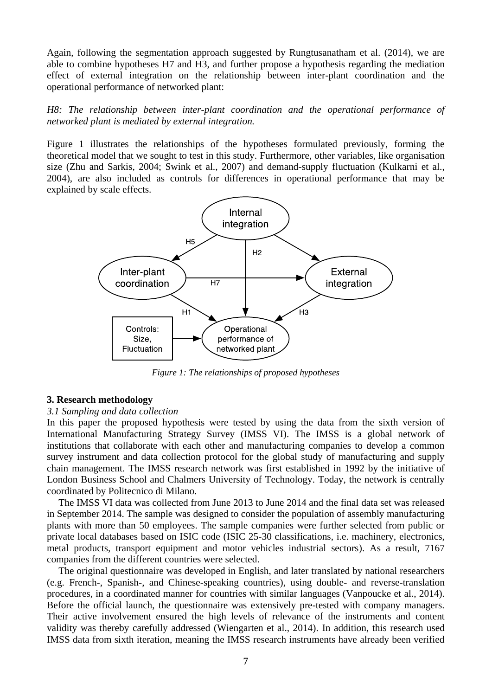Again, following the segmentation approach suggested by Rungtusanatham et al. (2014), we are able to combine hypotheses H7 and H3, and further propose a hypothesis regarding the mediation effect of external integration on the relationship between inter-plant coordination and the operational performance of networked plant:

*H8: The relationship between inter-plant coordination and the operational performance of networked plant is mediated by external integration.* 

Figure 1 illustrates the relationships of the hypotheses formulated previously, forming the theoretical model that we sought to test in this study. Furthermore, other variables, like organisation size (Zhu and Sarkis, 2004; Swink et al., 2007) and demand-supply fluctuation (Kulkarni et al., 2004), are also included as controls for differences in operational performance that may be explained by scale effects.



*Figure 1: The relationships of proposed hypotheses*

#### **3. Research methodology**

#### *3.1 Sampling and data collection*

In this paper the proposed hypothesis were tested by using the data from the sixth version of International Manufacturing Strategy Survey (IMSS VI). The IMSS is a global network of institutions that collaborate with each other and manufacturing companies to develop a common survey instrument and data collection protocol for the global study of manufacturing and supply chain management. The IMSS research network was first established in 1992 by the initiative of London Business School and Chalmers University of Technology. Today, the network is centrally coordinated by Politecnico di Milano.

The IMSS VI data was collected from June 2013 to June 2014 and the final data set was released in September 2014. The sample was designed to consider the population of assembly manufacturing plants with more than 50 employees. The sample companies were further selected from public or private local databases based on ISIC code (ISIC 25-30 classifications, i.e. machinery, electronics, metal products, transport equipment and motor vehicles industrial sectors). As a result, 7167 companies from the different countries were selected.

The original questionnaire was developed in English, and later translated by national researchers (e.g. French-, Spanish-, and Chinese-speaking countries), using double- and reverse-translation procedures, in a coordinated manner for countries with similar languages (Vanpoucke et al., 2014). Before the official launch, the questionnaire was extensively pre-tested with company managers. Their active involvement ensured the high levels of relevance of the instruments and content validity was thereby carefully addressed (Wiengarten et al., 2014). In addition, this research used IMSS data from sixth iteration, meaning the IMSS research instruments have already been verified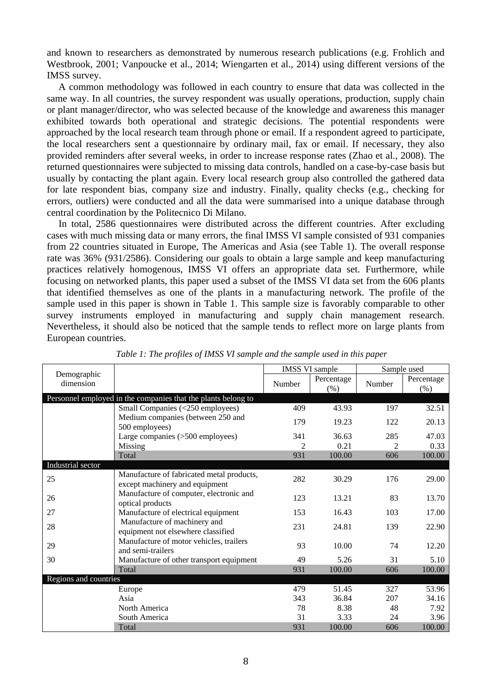and known to researchers as demonstrated by numerous research publications (e.g. Frohlich and Westbrook, 2001; Vanpoucke et al., 2014; Wiengarten et al., 2014) using different versions of the IMSS survey.

A common methodology was followed in each country to ensure that data was collected in the same way. In all countries, the survey respondent was usually operations, production, supply chain or plant manager/director, who was selected because of the knowledge and awareness this manager exhibited towards both operational and strategic decisions. The potential respondents were approached by the local research team through phone or email. If a respondent agreed to participate, the local researchers sent a questionnaire by ordinary mail, fax or email. If necessary, they also provided reminders after several weeks, in order to increase response rates (Zhao et al., 2008). The returned questionnaires were subjected to missing data controls, handled on a case-by-case basis but usually by contacting the plant again. Every local research group also controlled the gathered data for late respondent bias, company size and industry. Finally, quality checks (e.g., checking for errors, outliers) were conducted and all the data were summarised into a unique database through central coordination by the Politecnico Di Milano.

In total, 2586 questionnaires were distributed across the different countries. After excluding cases with much missing data or many errors, the final IMSS VI sample consisted of 931 companies from 22 countries situated in Europe, The Americas and Asia (see Table 1). The overall response rate was 36% (931/2586). Considering our goals to obtain a large sample and keep manufacturing practices relatively homogenous, IMSS VI offers an appropriate data set. Furthermore, while focusing on networked plants, this paper used a subset of the IMSS VI data set from the 606 plants that identified themselves as one of the plants in a manufacturing network. The profile of the sample used in this paper is shown in Table 1. This sample size is favorably comparable to other survey instruments employed in manufacturing and supply chain management research. Nevertheless, it should also be noticed that the sample tends to reflect more on large plants from European countries.

|                          |                                                                             |                | <b>IMSS VI sample</b> | Sample used |                      |  |
|--------------------------|-----------------------------------------------------------------------------|----------------|-----------------------|-------------|----------------------|--|
| Demographic<br>dimension |                                                                             | Number         | Percentage<br>(% )    | Number      | Percentage<br>$(\%)$ |  |
|                          | Personnel employed in the companies that the plants belong to               |                |                       |             |                      |  |
|                          | Small Companies (<250 employees)                                            | 409            | 43.93                 | 197         | 32.51                |  |
|                          | Medium companies (between 250 and<br>500 employees)                         | 179            | 19.23                 | 122         | 20.13                |  |
|                          | Large companies (>500 employees)                                            | 341            | 36.63                 | 285         | 47.03                |  |
|                          | Missing                                                                     | $\mathfrak{D}$ | 0.21                  | 2           | 0.33                 |  |
|                          | Total                                                                       | 931            | 100.00                | 606         | 100.00               |  |
| Industrial sector        |                                                                             |                |                       |             |                      |  |
| 25                       | Manufacture of fabricated metal products,<br>except machinery and equipment | 282            | 30.29                 | 176         | 29.00                |  |
| 26                       | Manufacture of computer, electronic and<br>optical products                 | 123            | 13.21                 | 83          | 13.70                |  |
| 27                       | Manufacture of electrical equipment                                         | 153            | 16.43                 | 103         | 17.00                |  |
| 28                       | Manufacture of machinery and<br>equipment not elsewhere classified          | 231            | 24.81                 | 139         | 22.90                |  |
| 29                       | Manufacture of motor vehicles, trailers<br>and semi-trailers                | 93             | 10.00                 | 74          | 12.20                |  |
| 30                       | Manufacture of other transport equipment                                    | 49             | 5.26                  | 31          | 5.10                 |  |
|                          | Total                                                                       | 931            | 100.00                | 606         | 100.00               |  |
| Regions and countries    |                                                                             |                |                       |             |                      |  |
|                          | Europe                                                                      | 479            | 51.45                 | 327         | 53.96                |  |
|                          | Asia                                                                        | 343            | 36.84                 | 207         | 34.16                |  |
|                          | North America                                                               | 78             | 8.38                  | 48          | 7.92                 |  |
|                          | South America                                                               | 31             | 3.33                  | 24          | 3.96                 |  |
|                          | Total                                                                       | 931            | 100.00                | 606         | 100.00               |  |

*Table 1: The profiles of IMSS VI sample and the sample used in this paper*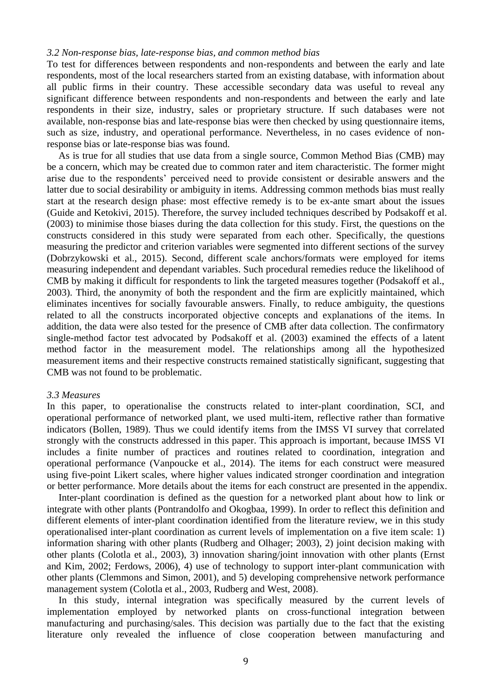#### *3.2 Non-response bias, late-response bias, and common method bias*

To test for differences between respondents and non-respondents and between the early and late respondents, most of the local researchers started from an existing database, with information about all public firms in their country. These accessible secondary data was useful to reveal any significant difference between respondents and non-respondents and between the early and late respondents in their size, industry, sales or proprietary structure. If such databases were not available, non-response bias and late-response bias were then checked by using questionnaire items, such as size, industry, and operational performance. Nevertheless, in no cases evidence of nonresponse bias or late-response bias was found.

As is true for all studies that use data from a single source, Common Method Bias (CMB) may be a concern, which may be created due to common rater and item characteristic. The former might arise due to the respondents' perceived need to provide consistent or desirable answers and the latter due to social desirability or ambiguity in items. Addressing common methods bias must really start at the research design phase: most effective remedy is to be ex-ante smart about the issues (Guide and Ketokivi, 2015). Therefore, the survey included techniques described by Podsakoff et al. (2003) to minimise those biases during the data collection for this study. First, the questions on the constructs considered in this study were separated from each other. Specifically, the questions measuring the predictor and criterion variables were segmented into different sections of the survey (Dobrzykowski et al., 2015). Second, different scale anchors/formats were employed for items measuring independent and dependant variables. Such procedural remedies reduce the likelihood of CMB by making it difficult for respondents to link the targeted measures together (Podsakoff et al., 2003). Third, the anonymity of both the respondent and the firm are explicitly maintained, which eliminates incentives for socially favourable answers. Finally, to reduce ambiguity, the questions related to all the constructs incorporated objective concepts and explanations of the items. In addition, the data were also tested for the presence of CMB after data collection. The confirmatory single-method factor test advocated by Podsakoff et al. (2003) examined the effects of a latent method factor in the measurement model. The relationships among all the hypothesized measurement items and their respective constructs remained statistically significant, suggesting that CMB was not found to be problematic.

#### *3.3 Measures*

In this paper, to operationalise the constructs related to inter-plant coordination, SCI, and operational performance of networked plant, we used multi-item, reflective rather than formative indicators (Bollen, 1989). Thus we could identify items from the IMSS VI survey that correlated strongly with the constructs addressed in this paper. This approach is important, because IMSS VI includes a finite number of practices and routines related to coordination, integration and operational performance (Vanpoucke et al., 2014). The items for each construct were measured using five-point Likert scales, where higher values indicated stronger coordination and integration or better performance. More details about the items for each construct are presented in the appendix.

Inter-plant coordination is defined as the question for a networked plant about how to link or integrate with other plants (Pontrandolfo and Okogbaa, 1999). In order to reflect this definition and different elements of inter-plant coordination identified from the literature review, we in this study operationalised inter-plant coordination as current levels of implementation on a five item scale: 1) information sharing with other plants (Rudberg and Olhager; 2003), 2) joint decision making with other plants (Colotla et al., 2003), 3) innovation sharing/joint innovation with other plants (Ernst and Kim, 2002; Ferdows, 2006), 4) use of technology to support inter-plant communication with other plants (Clemmons and Simon, 2001), and 5) developing comprehensive network performance management system (Colotla et al., 2003, Rudberg and West, 2008).

In this study, internal integration was specifically measured by the current levels of implementation employed by networked plants on cross-functional integration between manufacturing and purchasing/sales. This decision was partially due to the fact that the existing literature only revealed the influence of close cooperation between manufacturing and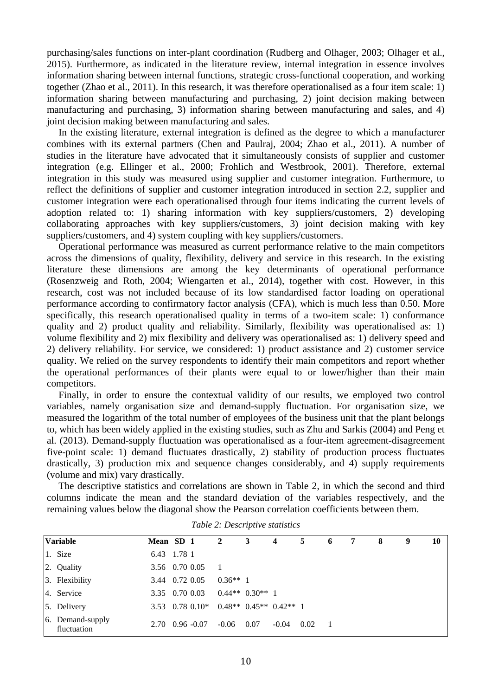purchasing/sales functions on inter-plant coordination (Rudberg and Olhager, 2003; Olhager et al., 2015). Furthermore, as indicated in the literature review, internal integration in essence involves information sharing between internal functions, strategic cross-functional cooperation, and working together (Zhao et al., 2011). In this research, it was therefore operationalised as a four item scale: 1) information sharing between manufacturing and purchasing, 2) joint decision making between manufacturing and purchasing, 3) information sharing between manufacturing and sales, and 4) joint decision making between manufacturing and sales.

In the existing literature, external integration is defined as the degree to which a manufacturer combines with its external partners (Chen and Paulraj, 2004; Zhao et al., 2011). A number of studies in the literature have advocated that it simultaneously consists of supplier and customer integration (e.g. Ellinger et al., 2000; Frohlich and Westbrook, 2001). Therefore, external integration in this study was measured using supplier and customer integration. Furthermore, to reflect the definitions of supplier and customer integration introduced in section 2.2, supplier and customer integration were each operationalised through four items indicating the current levels of adoption related to: 1) sharing information with key suppliers/customers, 2) developing collaborating approaches with key suppliers/customers, 3) joint decision making with key suppliers/customers, and 4) system coupling with key suppliers/customers.

Operational performance was measured as current performance relative to the main competitors across the dimensions of quality, flexibility, delivery and service in this research. In the existing literature these dimensions are among the key determinants of operational performance (Rosenzweig and Roth, 2004; Wiengarten et al., 2014), together with cost. However, in this research, cost was not included because of its low standardised factor loading on operational performance according to confirmatory factor analysis (CFA), which is much less than 0.50. More specifically, this research operationalised quality in terms of a two-item scale: 1) conformance quality and 2) product quality and reliability. Similarly, flexibility was operationalised as: 1) volume flexibility and 2) mix flexibility and delivery was operationalised as: 1) delivery speed and 2) delivery reliability. For service, we considered: 1) product assistance and 2) customer service quality. We relied on the survey respondents to identify their main competitors and report whether the operational performances of their plants were equal to or lower/higher than their main competitors.

Finally, in order to ensure the contextual validity of our results, we employed two control variables, namely organisation size and demand-supply fluctuation. For organisation size, we measured the logarithm of the total number of employees of the business unit that the plant belongs to, which has been widely applied in the existing studies, such as Zhu and Sarkis (2004) and Peng et al. (2013). Demand-supply fluctuation was operationalised as a four-item agreement-disagreement five-point scale: 1) demand fluctuates drastically, 2) stability of production process fluctuates drastically, 3) production mix and sequence changes considerably, and 4) supply requirements (volume and mix) vary drastically.

The descriptive statistics and correlations are shown in Table 2, in which the second and third columns indicate the mean and the standard deviation of the variables respectively, and the remaining values below the diagonal show the Pearson correlation coefficients between them.

| <b>Variable</b>                 | Mean SD 1                     | $\overline{2}$               | $\mathbf{3}$        | $\overline{4}$ | 5    | 6 | 7 | 8 | 9 | 10 |
|---------------------------------|-------------------------------|------------------------------|---------------------|----------------|------|---|---|---|---|----|
| 1. Size                         | 6.43 1.78 1                   |                              |                     |                |      |   |   |   |   |    |
| 2. Quality                      | 3.56 0.70 0.05                |                              |                     |                |      |   |   |   |   |    |
| 3. Flexibility                  | 3.44 0.72 0.05                | $0.36**1$                    |                     |                |      |   |   |   |   |    |
| 4. Service                      | 3.35 0.70 0.03                |                              | $0.44**$ $0.30**$ 1 |                |      |   |   |   |   |    |
| 5. Delivery                     | $3.53$ 0.78 0.10*             | $0.48**$ $0.45**$ $0.42**$ 1 |                     |                |      |   |   |   |   |    |
| 6. Demand-supply<br>fluctuation | $2.70 \quad 0.96 \quad -0.07$ | $-0.06$                      | 0.07                | $-0.04$        | 0.02 |   |   |   |   |    |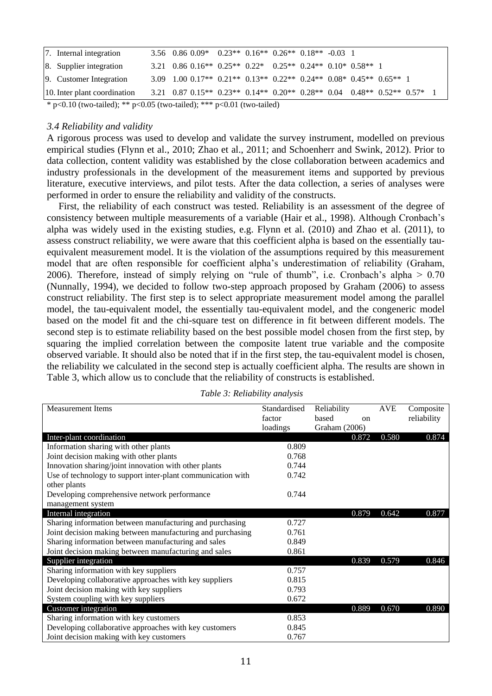| 7. Internal integration      | $3.56$ $0.86$ $0.09*$ $0.23**$ $0.16**$ $0.26**$ $0.18**$ $-0.03$ 1                    |  |  |  |  |  |
|------------------------------|----------------------------------------------------------------------------------------|--|--|--|--|--|
| 8. Supplier integration      | 3.21 0.86 0.16** 0.25** 0.22* 0.25** 0.24** 0.10* 0.58** 1                             |  |  |  |  |  |
| 9. Customer Integration      | $3.09$ $1.00$ $0.17**$ $0.21**$ $0.13**$ $0.22**$ $0.24**$ $0.08*$ $0.45**$ $0.65**$ 1 |  |  |  |  |  |
| 10. Inter plant coordination | 3.21 0.87 0.15** 0.23** 0.14** 0.20** 0.28** 0.04 0.48** 0.52** 0.57* 1                |  |  |  |  |  |
|                              |                                                                                        |  |  |  |  |  |

\* p<0.10 (two-tailed); \*\* p<0.05 (two-tailed); \*\*\* p<0.01 (two-tailed)

### *3.4 Reliability and validity*

A rigorous process was used to develop and validate the survey instrument, modelled on previous empirical studies (Flynn et al., 2010; Zhao et al., 2011; and Schoenherr and Swink, 2012). Prior to data collection, content validity was established by the close collaboration between academics and industry professionals in the development of the measurement items and supported by previous literature, executive interviews, and pilot tests. After the data collection, a series of analyses were performed in order to ensure the reliability and validity of the constructs.

First, the reliability of each construct was tested. Reliability is an assessment of the degree of consistency between multiple measurements of a variable (Hair et al., 1998). Although Cronbach's alpha was widely used in the existing studies, e.g. Flynn et al. (2010) and Zhao et al. (2011), to assess construct reliability, we were aware that this coefficient alpha is based on the essentially tauequivalent measurement model. It is the violation of the assumptions required by this measurement model that are often responsible for coefficient alpha's underestimation of reliability (Graham, 2006). Therefore, instead of simply relying on "rule of thumb", i.e. Cronbach's alpha > 0.70 (Nunnally, 1994), we decided to follow two-step approach proposed by Graham (2006) to assess construct reliability. The first step is to select appropriate measurement model among the parallel model, the tau-equivalent model, the essentially tau-equivalent model, and the congeneric model based on the model fit and the chi-square test on difference in fit between different models. The second step is to estimate reliability based on the best possible model chosen from the first step, by squaring the implied correlation between the composite latent true variable and the composite observed variable. It should also be noted that if in the first step, the tau-equivalent model is chosen, the reliability we calculated in the second step is actually coefficient alpha. The results are shown in Table 3, which allow us to conclude that the reliability of constructs is established.

| <b>Measurement Items</b>                                    | Standardised | Reliability   | <b>AVE</b> | Composite   |
|-------------------------------------------------------------|--------------|---------------|------------|-------------|
|                                                             | factor       | based<br>on   |            | reliability |
|                                                             | loadings     | Graham (2006) |            |             |
| Inter-plant coordination                                    |              | 0.872         | 0.580      | 0.874       |
| Information sharing with other plants                       | 0.809        |               |            |             |
| Joint decision making with other plants                     | 0.768        |               |            |             |
| Innovation sharing/joint innovation with other plants       | 0.744        |               |            |             |
| Use of technology to support inter-plant communication with | 0.742        |               |            |             |
| other plants                                                |              |               |            |             |
| Developing comprehensive network performance                | 0.744        |               |            |             |
| management system                                           |              |               |            |             |
| Internal integration                                        |              | 0.879         | 0.642      | 0.877       |
| Sharing information between manufacturing and purchasing    | 0.727        |               |            |             |
| Joint decision making between manufacturing and purchasing  | 0.761        |               |            |             |
| Sharing information between manufacturing and sales         | 0.849        |               |            |             |
| Joint decision making between manufacturing and sales       | 0.861        |               |            |             |
| Supplier integration                                        |              | 0.839         | 0.579      | 0.846       |
| Sharing information with key suppliers                      | 0.757        |               |            |             |
| Developing collaborative approaches with key suppliers      | 0.815        |               |            |             |
| Joint decision making with key suppliers                    | 0.793        |               |            |             |
| System coupling with key suppliers                          | 0.672        |               |            |             |
| Customer integration                                        |              | 0.889         | 0.670      | 0.890       |
| Sharing information with key customers                      | 0.853        |               |            |             |
| Developing collaborative approaches with key customers      | 0.845        |               |            |             |
| Joint decision making with key customers                    | 0.767        |               |            |             |

*Table 3: Reliability analysis*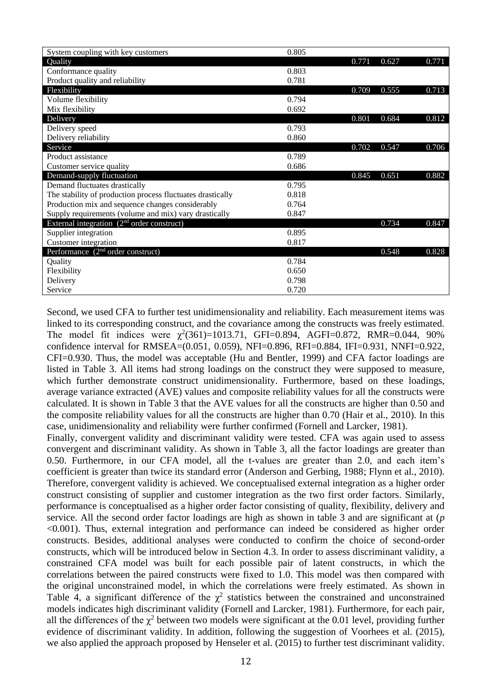| System coupling with key customers                            | 0.805 |       |       |       |
|---------------------------------------------------------------|-------|-------|-------|-------|
| Quality                                                       |       | 0.771 | 0.627 | 0.771 |
| Conformance quality                                           | 0.803 |       |       |       |
| Product quality and reliability                               | 0.781 |       |       |       |
| Flexibility                                                   |       | 0.709 | 0.555 | 0.713 |
| Volume flexibility                                            | 0.794 |       |       |       |
| Mix flexibility                                               | 0.692 |       |       |       |
| Delivery                                                      |       | 0.801 | 0.684 | 0.812 |
| Delivery speed                                                | 0.793 |       |       |       |
| Delivery reliability                                          | 0.860 |       |       |       |
| Service                                                       |       | 0.702 | 0.547 | 0.706 |
| Product assistance                                            | 0.789 |       |       |       |
| Customer service quality                                      | 0.686 |       |       |       |
| Demand-supply fluctuation                                     |       | 0.845 | 0.651 | 0.882 |
| Demand fluctuates drastically                                 | 0.795 |       |       |       |
| The stability of production process fluctuates drastically    | 0.818 |       |       |       |
| Production mix and sequence changes considerably              | 0.764 |       |       |       |
| Supply requirements (volume and mix) vary drastically         | 0.847 |       |       |       |
| External integration $(2nd order construct)$                  |       |       | 0.734 | 0.847 |
| Supplier integration                                          | 0.895 |       |       |       |
| Customer integration                                          | 0.817 |       |       |       |
| Performance $(2n \overline{d} \overline{d})$ order construct) |       |       | 0.548 | 0.828 |
| Quality                                                       | 0.784 |       |       |       |
| Flexibility                                                   | 0.650 |       |       |       |
| Delivery                                                      | 0.798 |       |       |       |
| Service                                                       | 0.720 |       |       |       |

Second, we used CFA to further test unidimensionality and reliability. Each measurement items was linked to its corresponding construct, and the covariance among the constructs was freely estimated. The model fit indices were  $\chi^2(361)=1013.71$ , GFI=0.894, AGFI=0.872, RMR=0.044, 90% confidence interval for RMSEA=(0.051, 0.059), NFI=0.896, RFI=0.884, IFI=0.931, NNFI=0.922, CFI=0.930. Thus, the model was acceptable (Hu and Bentler, 1999) and CFA factor loadings are listed in Table 3. All items had strong loadings on the construct they were supposed to measure, which further demonstrate construct unidimensionality. Furthermore, based on these loadings, average variance extracted (AVE) values and composite reliability values for all the constructs were calculated. It is shown in Table 3 that the AVE values for all the constructs are higher than 0.50 and the composite reliability values for all the constructs are higher than 0.70 (Hair et al., 2010). In this case, unidimensionality and reliability were further confirmed (Fornell and Larcker, 1981).

Finally, convergent validity and discriminant validity were tested. CFA was again used to assess convergent and discriminant validity. As shown in Table 3, all the factor loadings are greater than 0.50. Furthermore, in our CFA model, all the t-values are greater than 2.0, and each item's coefficient is greater than twice its standard error (Anderson and Gerbing, 1988; Flynn et al., 2010). Therefore, convergent validity is achieved. We conceptualised external integration as a higher order construct consisting of supplier and customer integration as the two first order factors. Similarly, performance is conceptualised as a higher order factor consisting of quality, flexibility, delivery and service. All the second order factor loadings are high as shown in table 3 and are significant at (*p* <0.001). Thus, external integration and performance can indeed be considered as higher order constructs. Besides, additional analyses were conducted to confirm the choice of second-order constructs, which will be introduced below in Section 4.3. In order to assess discriminant validity, a constrained CFA model was built for each possible pair of latent constructs, in which the correlations between the paired constructs were fixed to 1.0. This model was then compared with the original unconstrained model, in which the correlations were freely estimated. As shown in Table 4, a significant difference of the  $\chi^2$  statistics between the constrained and unconstrained models indicates high discriminant validity (Fornell and Larcker, 1981). Furthermore, for each pair, all the differences of the  $\chi^2$  between two models were significant at the 0.01 level, providing further evidence of discriminant validity. In addition, following the suggestion of Voorhees et al. (2015), we also applied the approach proposed by Henseler et al. (2015) to further test discriminant validity.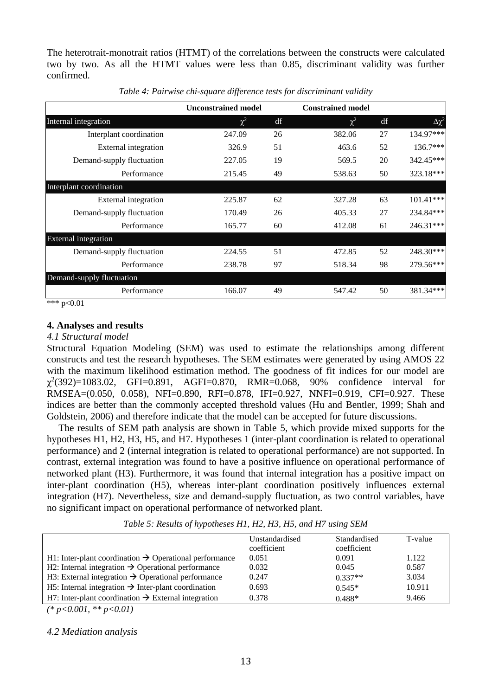The heterotrait-monotrait ratios (HTMT) of the correlations between the constructs were calculated two by two. As all the HTMT values were less than 0.85, discriminant validity was further confirmed.

|                           | <b>Unconstrained model</b> |    | <b>Constrained model</b> |    |                 |
|---------------------------|----------------------------|----|--------------------------|----|-----------------|
| Internal integration      | $\chi^2$                   | df | $\chi^2$                 | df | $\Delta \chi^2$ |
| Interplant coordination   | 247.09                     | 26 | 382.06                   | 27 | 134.97***       |
| External integration      | 326.9                      | 51 | 463.6                    | 52 | $136.7***$      |
| Demand-supply fluctuation | 227.05                     | 19 | 569.5                    | 20 | 342.45***       |
| Performance               | 215.45                     | 49 | 538.63                   | 50 | 323.18***       |
| Interplant coordination   |                            |    |                          |    |                 |
| External integration      | 225.87                     | 62 | 327.28                   | 63 | $101.41***$     |
| Demand-supply fluctuation | 170.49                     | 26 | 405.33                   | 27 | 234.84***       |
| Performance               | 165.77                     | 60 | 412.08                   | 61 | $246.31***$     |
| External integration      |                            |    |                          |    |                 |
| Demand-supply fluctuation | 224.55                     | 51 | 472.85                   | 52 | 248.30***       |
| Performance               | 238.78                     | 97 | 518.34                   | 98 | 279.56***       |
| Demand-supply fluctuation |                            |    |                          |    |                 |
| Performance               | 166.07                     | 49 | 547.42                   | 50 | 381.34***       |
| .<br>$\sim$ $\sim$ $\sim$ |                            |    |                          |    |                 |

*Table 4: Pairwise chi-square difference tests for discriminant validity*

\*\*\* p<0.01

### **4. Analyses and results**

#### *4.1 Structural model*

Structural Equation Modeling (SEM) was used to estimate the relationships among different constructs and test the research hypotheses. The SEM estimates were generated by using AMOS 22 with the maximum likelihood estimation method. The goodness of fit indices for our model are  $\chi^2(392)=1083.02$ , GFI=0.891, AGFI=0.870, RMR=0.068, 90% confidence interval for RMSEA=(0.050, 0.058), NFI=0.890, RFI=0.878, IFI=0.927, NNFI=0.919, CFI=0.927. These indices are better than the commonly accepted threshold values (Hu and Bentler, 1999; Shah and Goldstein, 2006) and therefore indicate that the model can be accepted for future discussions.

The results of SEM path analysis are shown in Table 5, which provide mixed supports for the hypotheses H1, H2, H3, H5, and H7. Hypotheses 1 (inter-plant coordination is related to operational performance) and 2 (internal integration is related to operational performance) are not supported. In contrast, external integration was found to have a positive influence on operational performance of networked plant (H3). Furthermore, it was found that internal integration has a positive impact on inter-plant coordination (H5), whereas inter-plant coordination positively influences external integration (H7). Nevertheless, size and demand-supply fluctuation, as two control variables, have no significant impact on operational performance of networked plant.

*Table 5: Results of hypotheses H1, H2, H3, H5, and H7 using SEM*

|                                                                    | Unstandardised<br>coefficient | Standardised<br>coefficient | T-value |
|--------------------------------------------------------------------|-------------------------------|-----------------------------|---------|
| H1: Inter-plant coordination $\rightarrow$ Operational performance | 0.051                         | 0.091                       | 1.122   |
| H2: Internal integration $\rightarrow$ Operational performance     | 0.032                         | 0.045                       | 0.587   |
| H3: External integration $\rightarrow$ Operational performance     | 0.247                         | $0.337**$                   | 3.034   |
| H5: Internal integration $\rightarrow$ Inter-plant coordination    | 0.693                         | $0.545*$                    | 10.911  |
| H7: Inter-plant coordination $\rightarrow$ External integration    | 0.378                         | $0.488*$                    | 9.466   |

*(\* p<0.001, \*\* p<0.01)*

#### *4.2 Mediation analysis*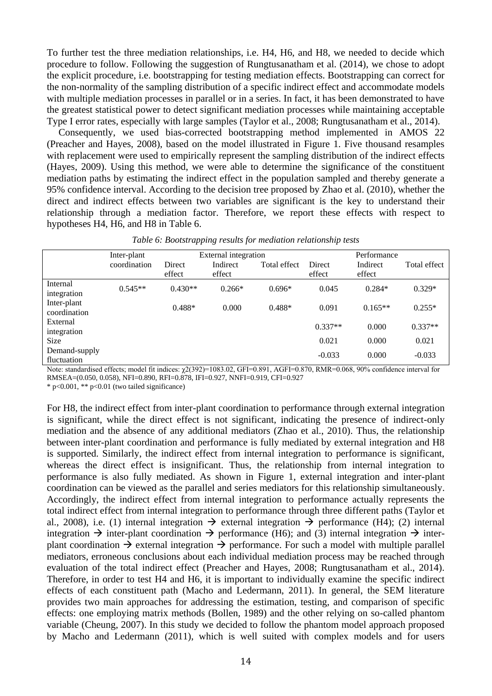To further test the three mediation relationships, i.e. H4, H6, and H8, we needed to decide which procedure to follow. Following the suggestion of Rungtusanatham et al. (2014), we chose to adopt the explicit procedure, i.e. bootstrapping for testing mediation effects. Bootstrapping can correct for the non-normality of the sampling distribution of a specific indirect effect and accommodate models with multiple mediation processes in parallel or in a series. In fact, it has been demonstrated to have the greatest statistical power to detect significant mediation processes while maintaining acceptable Type I error rates, especially with large samples (Taylor et al., 2008; Rungtusanatham et al., 2014).

Consequently, we used bias-corrected bootstrapping method implemented in AMOS 22 (Preacher and Hayes, 2008), based on the model illustrated in Figure 1. Five thousand resamples with replacement were used to empirically represent the sampling distribution of the indirect effects (Hayes, 2009). Using this method, we were able to determine the significance of the constituent mediation paths by estimating the indirect effect in the population sampled and thereby generate a 95% confidence interval. According to the decision tree proposed by Zhao et al. (2010), whether the direct and indirect effects between two variables are significant is the key to understand their relationship through a mediation factor. Therefore, we report these effects with respect to hypotheses H4, H6, and H8 in Table 6.

|               | Inter-plant  |                  | External integration |              |                  | Performance        |              |  |
|---------------|--------------|------------------|----------------------|--------------|------------------|--------------------|--------------|--|
|               | coordination | Direct<br>effect | Indirect<br>effect   | Total effect | Direct<br>effect | Indirect<br>effect | Total effect |  |
| Internal      | $0.545**$    | $0.430**$        | $0.266*$             | $0.696*$     | 0.045            | $0.284*$           | $0.329*$     |  |
| integration   |              |                  |                      |              |                  |                    |              |  |
| Inter-plant   |              | $0.488*$         | 0.000                | $0.488*$     | 0.091            | $0.165**$          | $0.255*$     |  |
| coordination  |              |                  |                      |              |                  |                    |              |  |
| External      |              |                  |                      |              | $0.337**$        | 0.000              | $0.337**$    |  |
| integration   |              |                  |                      |              |                  |                    |              |  |
| <b>Size</b>   |              |                  |                      |              | 0.021            | 0.000              | 0.021        |  |
| Demand-supply |              |                  |                      |              | $-0.033$         | 0.000              | $-0.033$     |  |
| fluctuation   |              |                  |                      |              |                  |                    |              |  |

*Table 6: Bootstrapping results for mediation relationship tests*

Note: standardised effects; model fit indices: χ2(392)=1083.02, GFI=0.891, AGFI=0.870, RMR=0.068, 90% confidence interval for RMSEA=(0.050, 0.058), NFI=0.890, RFI=0.878, IFI=0.927, NNFI=0.919, CFI=0.927

 $*$  p<0.001,  $*$  p<0.01 (two tailed significance)

For H8, the indirect effect from inter-plant coordination to performance through external integration is significant, while the direct effect is not significant, indicating the presence of indirect-only mediation and the absence of any additional mediators (Zhao et al., 2010). Thus, the relationship between inter-plant coordination and performance is fully mediated by external integration and H8 is supported. Similarly, the indirect effect from internal integration to performance is significant, whereas the direct effect is insignificant. Thus, the relationship from internal integration to performance is also fully mediated. As shown in Figure 1, external integration and inter-plant coordination can be viewed as the parallel and series mediators for this relationship simultaneously. Accordingly, the indirect effect from internal integration to performance actually represents the total indirect effect from internal integration to performance through three different paths (Taylor et al., 2008), i.e. (1) internal integration  $\rightarrow$  external integration  $\rightarrow$  performance (H4); (2) internal integration  $\rightarrow$  inter-plant coordination  $\rightarrow$  performance (H6); and (3) internal integration  $\rightarrow$  interplant coordination  $\rightarrow$  external integration  $\rightarrow$  performance. For such a model with multiple parallel mediators, erroneous conclusions about each individual mediation process may be reached through evaluation of the total indirect effect (Preacher and Hayes, 2008; Rungtusanatham et al., 2014). Therefore, in order to test H4 and H6, it is important to individually examine the specific indirect effects of each constituent path (Macho and Ledermann, 2011). In general, the SEM literature provides two main approaches for addressing the estimation, testing, and comparison of specific effects: one employing matrix methods (Bollen, 1989) and the other relying on so-called phantom variable (Cheung, 2007). In this study we decided to follow the phantom model approach proposed by Macho and Ledermann (2011), which is well suited with complex models and for users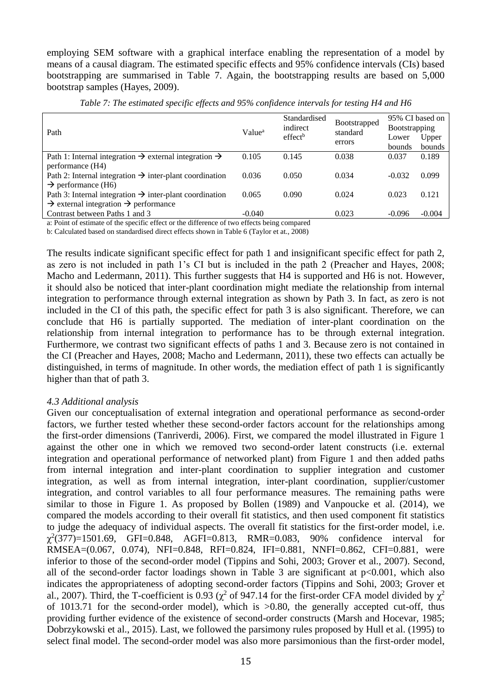employing SEM software with a graphical interface enabling the representation of a model by means of a causal diagram. The estimated specific effects and 95% confidence intervals (CIs) based bootstrapping are summarised in Table 7. Again, the bootstrapping results are based on 5,000 bootstrap samples (Hayes, 2009).

| Path                                                                          | Value <sup>a</sup> | Standardised<br>indirect | <b>Bootstrapped</b><br>standard | 95% CI based on<br><b>B</b> ootstrapping |          |  |
|-------------------------------------------------------------------------------|--------------------|--------------------------|---------------------------------|------------------------------------------|----------|--|
|                                                                               |                    | effect <sup>b</sup>      |                                 | Lower                                    | Upper    |  |
|                                                                               |                    |                          | errors                          | <b>bounds</b>                            | bounds   |  |
| Path 1: Internal integration $\rightarrow$ external integration $\rightarrow$ | 0.105              | 0.145                    | 0.038                           | 0.037                                    | 0.189    |  |
| performance (H4)                                                              |                    |                          |                                 |                                          |          |  |
| Path 2: Internal integration $\rightarrow$ inter-plant coordination           | 0.036              | 0.050                    | 0.034                           | $-0.032$                                 | 0.099    |  |
| $\rightarrow$ performance (H6)                                                |                    |                          |                                 |                                          |          |  |
| Path 3: Internal integration $\rightarrow$ inter-plant coordination           | 0.065              | 0.090                    | 0.024                           | 0.023                                    | 0.121    |  |
| $\rightarrow$ external integration $\rightarrow$ performance                  |                    |                          |                                 |                                          |          |  |
| Contrast between Paths 1 and 3                                                | $-0.040$           |                          | 0.023                           | $-0.096$                                 | $-0.004$ |  |

*Table 7: The estimated specific effects and 95% confidence intervals for testing H4 and H6*

a: Point of estimate of the specific effect or the difference of two effects being compared

b: Calculated based on standardised direct effects shown in Table 6 (Taylor et at., 2008)

The results indicate significant specific effect for path 1 and insignificant specific effect for path 2, as zero is not included in path 1's CI but is included in the path 2 (Preacher and Hayes, 2008; Macho and Ledermann, 2011). This further suggests that H4 is supported and H6 is not. However, it should also be noticed that inter-plant coordination might mediate the relationship from internal integration to performance through external integration as shown by Path 3. In fact, as zero is not included in the CI of this path, the specific effect for path 3 is also significant. Therefore, we can conclude that H6 is partially supported. The mediation of inter-plant coordination on the relationship from internal integration to performance has to be through external integration. Furthermore, we contrast two significant effects of paths 1 and 3. Because zero is not contained in the CI (Preacher and Hayes, 2008; Macho and Ledermann, 2011), these two effects can actually be distinguished, in terms of magnitude. In other words, the mediation effect of path 1 is significantly higher than that of path 3.

## *4.3 Additional analysis*

Given our conceptualisation of external integration and operational performance as second-order factors, we further tested whether these second-order factors account for the relationships among the first-order dimensions (Tanriverdi, 2006). First, we compared the model illustrated in Figure 1 against the other one in which we removed two second-order latent constructs (i.e. external integration and operational performance of networked plant) from Figure 1 and then added paths from internal integration and inter-plant coordination to supplier integration and customer integration, as well as from internal integration, inter-plant coordination, supplier/customer integration, and control variables to all four performance measures. The remaining paths were similar to those in Figure 1. As proposed by Bollen (1989) and Vanpoucke et al. (2014), we compared the models according to their overall fit statistics, and then used component fit statistics to judge the adequacy of individual aspects. The overall fit statistics for the first-order model, i.e.  $\chi^2(377)=1501.69$ , GFI=0.848, AGFI=0.813, RMR=0.083, 90% confidence interval for RMSEA=(0.067, 0.074), NFI=0.848, RFI=0.824, IFI=0.881, NNFI=0.862, CFI=0.881, were inferior to those of the second-order model (Tippins and Sohi, 2003; Grover et al., 2007). Second, all of the second-order factor loadings shown in Table 3 are significant at  $p<0.001$ , which also indicates the appropriateness of adopting second-order factors (Tippins and Sohi, 2003; Grover et al., 2007). Third, the T-coefficient is 0.93 ( $\chi^2$  of 947.14 for the first-order CFA model divided by  $\chi^2$ of 1013.71 for the second-order model), which is >0.80, the generally accepted cut-off, thus providing further evidence of the existence of second-order constructs (Marsh and Hocevar, 1985; Dobrzykowski et al., 2015). Last, we followed the parsimony rules proposed by Hull et al. (1995) to select final model. The second-order model was also more parsimonious than the first-order model,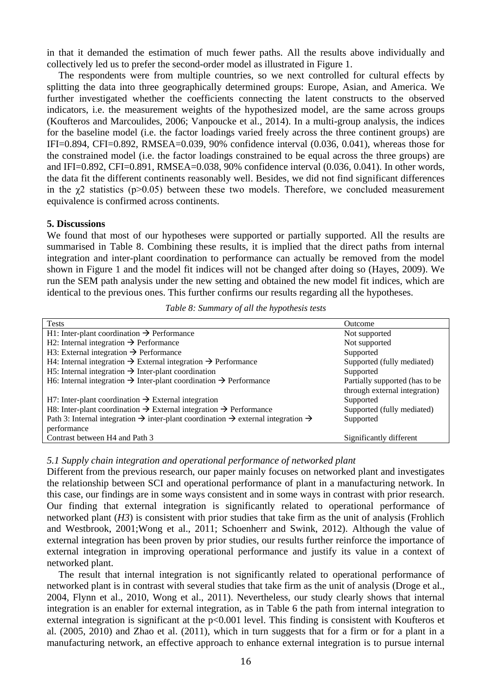in that it demanded the estimation of much fewer paths. All the results above individually and collectively led us to prefer the second-order model as illustrated in Figure 1.

The respondents were from multiple countries, so we next controlled for cultural effects by splitting the data into three geographically determined groups: Europe, Asian, and America. We further investigated whether the coefficients connecting the latent constructs to the observed indicators, i.e. the measurement weights of the hypothesized model, are the same across groups (Koufteros and Marcoulides, 2006; Vanpoucke et al., 2014). In a multi-group analysis, the indices for the baseline model (i.e. the factor loadings varied freely across the three continent groups) are IFI=0.894, CFI=0.892, RMSEA=0.039, 90% confidence interval (0.036, 0.041), whereas those for the constrained model (i.e. the factor loadings constrained to be equal across the three groups) are and IFI=0.892, CFI=0.891, RMSEA=0.038, 90% confidence interval (0.036, 0.041). In other words, the data fit the different continents reasonably well. Besides, we did not find significant differences in the  $\chi$ 2 statistics (p>0.05) between these two models. Therefore, we concluded measurement equivalence is confirmed across continents.

#### **5. Discussions**

We found that most of our hypotheses were supported or partially supported. All the results are summarised in Table 8. Combining these results, it is implied that the direct paths from internal integration and inter-plant coordination to performance can actually be removed from the model shown in Figure 1 and the model fit indices will not be changed after doing so (Hayes, 2009). We run the SEM path analysis under the new setting and obtained the new model fit indices, which are identical to the previous ones. This further confirms our results regarding all the hypotheses.

| <b>Tests</b>                                                                                                         | Outcome                        |
|----------------------------------------------------------------------------------------------------------------------|--------------------------------|
| H1: Inter-plant coordination $\rightarrow$ Performance                                                               | Not supported                  |
| H2: Internal integration $\rightarrow$ Performance                                                                   | Not supported                  |
| H3: External integration $\rightarrow$ Performance                                                                   | Supported                      |
| H4: Internal integration $\rightarrow$ External integration $\rightarrow$ Performance                                | Supported (fully mediated)     |
| H5: Internal integration $\rightarrow$ Inter-plant coordination                                                      | Supported                      |
| H6: Internal integration $\rightarrow$ Inter-plant coordination $\rightarrow$ Performance                            | Partially supported (has to be |
|                                                                                                                      | through external integration)  |
| H7: Inter-plant coordination $\rightarrow$ External integration                                                      | Supported                      |
| H8: Inter-plant coordination $\rightarrow$ External integration $\rightarrow$ Performance                            | Supported (fully mediated)     |
| Path 3: Internal integration $\rightarrow$ inter-plant coordination $\rightarrow$ external integration $\rightarrow$ | Supported                      |
| performance                                                                                                          |                                |
| Contrast between H4 and Path 3                                                                                       | Significantly different        |

*Table 8: Summary of all the hypothesis tests*

#### *5.1 Supply chain integration and operational performance of networked plant*

Different from the previous research, our paper mainly focuses on networked plant and investigates the relationship between SCI and operational performance of plant in a manufacturing network. In this case, our findings are in some ways consistent and in some ways in contrast with prior research. Our finding that external integration is significantly related to operational performance of networked plant (*H3*) is consistent with prior studies that take firm as the unit of analysis (Frohlich and Westbrook, 2001;Wong et al., 2011; Schoenherr and Swink, 2012). Although the value of external integration has been proven by prior studies, our results further reinforce the importance of external integration in improving operational performance and justify its value in a context of networked plant.

The result that internal integration is not significantly related to operational performance of networked plant is in contrast with several studies that take firm as the unit of analysis (Droge et al., 2004, Flynn et al., 2010, Wong et al., 2011). Nevertheless, our study clearly shows that internal integration is an enabler for external integration, as in Table 6 the path from internal integration to external integration is significant at the p<0.001 level. This finding is consistent with Koufteros et al. (2005, 2010) and Zhao et al. (2011), which in turn suggests that for a firm or for a plant in a manufacturing network, an effective approach to enhance external integration is to pursue internal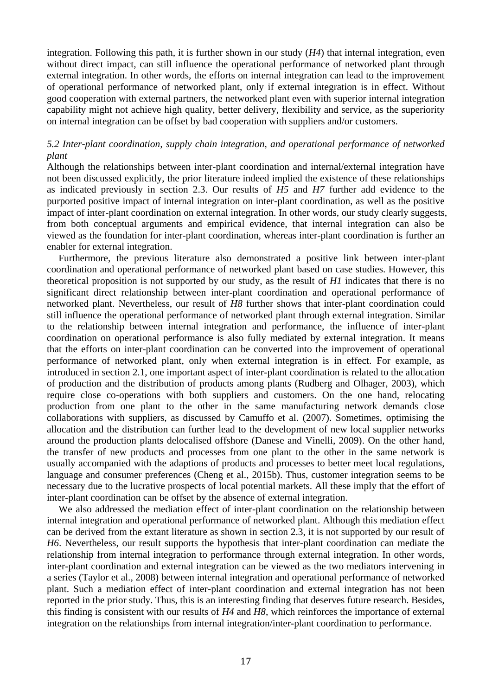integration. Following this path, it is further shown in our study  $(H<sub>4</sub>)$  that internal integration, even without direct impact, can still influence the operational performance of networked plant through external integration. In other words, the efforts on internal integration can lead to the improvement of operational performance of networked plant, only if external integration is in effect. Without good cooperation with external partners, the networked plant even with superior internal integration capability might not achieve high quality, better delivery, flexibility and service, as the superiority on internal integration can be offset by bad cooperation with suppliers and/or customers.

# *5.2 Inter-plant coordination, supply chain integration, and operational performance of networked plant*

Although the relationships between inter-plant coordination and internal/external integration have not been discussed explicitly, the prior literature indeed implied the existence of these relationships as indicated previously in section 2.3. Our results of *H5* and *H7* further add evidence to the purported positive impact of internal integration on inter-plant coordination, as well as the positive impact of inter-plant coordination on external integration. In other words, our study clearly suggests, from both conceptual arguments and empirical evidence, that internal integration can also be viewed as the foundation for inter-plant coordination, whereas inter-plant coordination is further an enabler for external integration.

Furthermore, the previous literature also demonstrated a positive link between inter-plant coordination and operational performance of networked plant based on case studies. However, this theoretical proposition is not supported by our study, as the result of *H1* indicates that there is no significant direct relationship between inter-plant coordination and operational performance of networked plant. Nevertheless, our result of *H8* further shows that inter-plant coordination could still influence the operational performance of networked plant through external integration. Similar to the relationship between internal integration and performance, the influence of inter-plant coordination on operational performance is also fully mediated by external integration. It means that the efforts on inter-plant coordination can be converted into the improvement of operational performance of networked plant, only when external integration is in effect. For example, as introduced in section 2.1, one important aspect of inter-plant coordination is related to the allocation of production and the distribution of products among plants (Rudberg and Olhager, 2003), which require close co-operations with both suppliers and customers. On the one hand, relocating production from one plant to the other in the same manufacturing network demands close collaborations with suppliers, as discussed by Camuffo et al. (2007). Sometimes, optimising the allocation and the distribution can further lead to the development of new local supplier networks around the production plants delocalised offshore (Danese and Vinelli, 2009). On the other hand, the transfer of new products and processes from one plant to the other in the same network is usually accompanied with the adaptions of products and processes to better meet local regulations, language and consumer preferences (Cheng et al., 2015b). Thus, customer integration seems to be necessary due to the lucrative prospects of local potential markets. All these imply that the effort of inter-plant coordination can be offset by the absence of external integration.

We also addressed the mediation effect of inter-plant coordination on the relationship between internal integration and operational performance of networked plant. Although this mediation effect can be derived from the extant literature as shown in section 2.3, it is not supported by our result of *H6*. Nevertheless, our result supports the hypothesis that inter-plant coordination can mediate the relationship from internal integration to performance through external integration. In other words, inter-plant coordination and external integration can be viewed as the two mediators intervening in a series (Taylor et al., 2008) between internal integration and operational performance of networked plant. Such a mediation effect of inter-plant coordination and external integration has not been reported in the prior study. Thus, this is an interesting finding that deserves future research. Besides, this finding is consistent with our results of *H4* and *H8*, which reinforces the importance of external integration on the relationships from internal integration/inter-plant coordination to performance.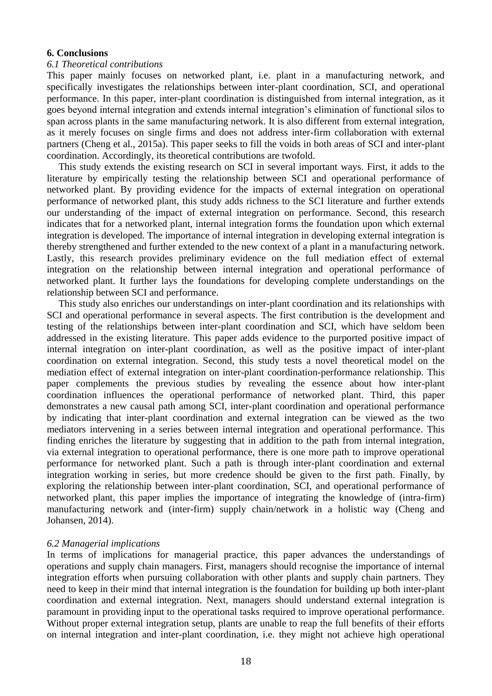### **6. Conclusions**

### *6.1 Theoretical contributions*

This paper mainly focuses on networked plant, i.e. plant in a manufacturing network, and specifically investigates the relationships between inter-plant coordination, SCI, and operational performance. In this paper, inter-plant coordination is distinguished from internal integration, as it goes beyond internal integration and extends internal integration's elimination of functional silos to span across plants in the same manufacturing network. It is also different from external integration, as it merely focuses on single firms and does not address inter-firm collaboration with external partners (Cheng et al., 2015a). This paper seeks to fill the voids in both areas of SCI and inter-plant coordination. Accordingly, its theoretical contributions are twofold.

This study extends the existing research on SCI in several important ways. First, it adds to the literature by empirically testing the relationship between SCI and operational performance of networked plant. By providing evidence for the impacts of external integration on operational performance of networked plant, this study adds richness to the SCI literature and further extends our understanding of the impact of external integration on performance. Second, this research indicates that for a networked plant, internal integration forms the foundation upon which external integration is developed. The importance of internal integration in developing external integration is thereby strengthened and further extended to the new context of a plant in a manufacturing network. Lastly, this research provides preliminary evidence on the full mediation effect of external integration on the relationship between internal integration and operational performance of networked plant. It further lays the foundations for developing complete understandings on the relationship between SCI and performance.

This study also enriches our understandings on inter-plant coordination and its relationships with SCI and operational performance in several aspects. The first contribution is the development and testing of the relationships between inter-plant coordination and SCI, which have seldom been addressed in the existing literature. This paper adds evidence to the purported positive impact of internal integration on inter-plant coordination, as well as the positive impact of inter-plant coordination on external integration. Second, this study tests a novel theoretical model on the mediation effect of external integration on inter-plant coordination-performance relationship. This paper complements the previous studies by revealing the essence about how inter-plant coordination influences the operational performance of networked plant. Third, this paper demonstrates a new causal path among SCI, inter-plant coordination and operational performance by indicating that inter-plant coordination and external integration can be viewed as the two mediators intervening in a series between internal integration and operational performance. This finding enriches the literature by suggesting that in addition to the path from internal integration, via external integration to operational performance, there is one more path to improve operational performance for networked plant. Such a path is through inter-plant coordination and external integration working in series, but more credence should be given to the first path. Finally, by exploring the relationship between inter-plant coordination, SCI, and operational performance of networked plant, this paper implies the importance of integrating the knowledge of (intra-firm) manufacturing network and (inter-firm) supply chain/network in a holistic way (Cheng and Johansen, 2014).

### *6.2 Managerial implications*

In terms of implications for managerial practice, this paper advances the understandings of operations and supply chain managers. First, managers should recognise the importance of internal integration efforts when pursuing collaboration with other plants and supply chain partners. They need to keep in their mind that internal integration is the foundation for building up both inter-plant coordination and external integration. Next, managers should understand external integration is paramount in providing input to the operational tasks required to improve operational performance. Without proper external integration setup, plants are unable to reap the full benefits of their efforts on internal integration and inter-plant coordination, i.e. they might not achieve high operational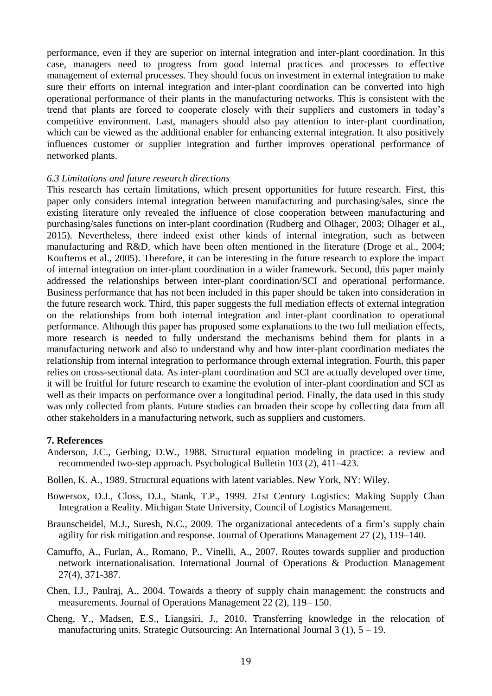performance, even if they are superior on internal integration and inter-plant coordination. In this case, managers need to progress from good internal practices and processes to effective management of external processes. They should focus on investment in external integration to make sure their efforts on internal integration and inter-plant coordination can be converted into high operational performance of their plants in the manufacturing networks. This is consistent with the trend that plants are forced to cooperate closely with their suppliers and customers in today's competitive environment. Last, managers should also pay attention to inter-plant coordination, which can be viewed as the additional enabler for enhancing external integration. It also positively influences customer or supplier integration and further improves operational performance of networked plants.

### *6.3 Limitations and future research directions*

This research has certain limitations, which present opportunities for future research. First, this paper only considers internal integration between manufacturing and purchasing/sales, since the existing literature only revealed the influence of close cooperation between manufacturing and purchasing/sales functions on inter-plant coordination (Rudberg and Olhager, 2003; Olhager et al., 2015). Nevertheless, there indeed exist other kinds of internal integration, such as between manufacturing and R&D, which have been often mentioned in the literature (Droge et al., 2004; Koufteros et al., 2005). Therefore, it can be interesting in the future research to explore the impact of internal integration on inter-plant coordination in a wider framework. Second, this paper mainly addressed the relationships between inter-plant coordination/SCI and operational performance. Business performance that has not been included in this paper should be taken into consideration in the future research work. Third, this paper suggests the full mediation effects of external integration on the relationships from both internal integration and inter-plant coordination to operational performance. Although this paper has proposed some explanations to the two full mediation effects, more research is needed to fully understand the mechanisms behind them for plants in a manufacturing network and also to understand why and how inter-plant coordination mediates the relationship from internal integration to performance through external integration. Fourth, this paper relies on cross-sectional data. As inter-plant coordination and SCI are actually developed over time, it will be fruitful for future research to examine the evolution of inter-plant coordination and SCI as well as their impacts on performance over a longitudinal period. Finally, the data used in this study was only collected from plants. Future studies can broaden their scope by collecting data from all other stakeholders in a manufacturing network, such as suppliers and customers.

### **7. References**

- Anderson, J.C., Gerbing, D.W., 1988. Structural equation modeling in practice: a review and recommended two-step approach. Psychological Bulletin 103 (2), 411–423.
- Bollen, K. A., 1989. Structural equations with latent variables. New York, NY: Wiley.
- Bowersox, D.J., Closs, D.J., Stank, T.P., 1999. 21st Century Logistics: Making Supply Chan Integration a Reality. Michigan State University, Council of Logistics Management.
- Braunscheidel, M.J., Suresh, N.C., 2009. The organizational antecedents of a firm's supply chain agility for risk mitigation and response. Journal of Operations Management 27 (2), 119–140.
- Camuffo, A., Furlan, A., Romano, P., Vinelli, A., 2007. Routes towards supplier and production network internationalisation. International Journal of Operations & Production Management 27(4), 371-387.
- Chen, I.J., Paulraj, A., 2004. Towards a theory of supply chain management: the constructs and measurements. Journal of Operations Management 22 (2), 119– 150.
- Cheng, Y., Madsen, E.S., Liangsiri, J., 2010. Transferring knowledge in the relocation of manufacturing units. Strategic Outsourcing: An International Journal 3 (1), 5 – 19.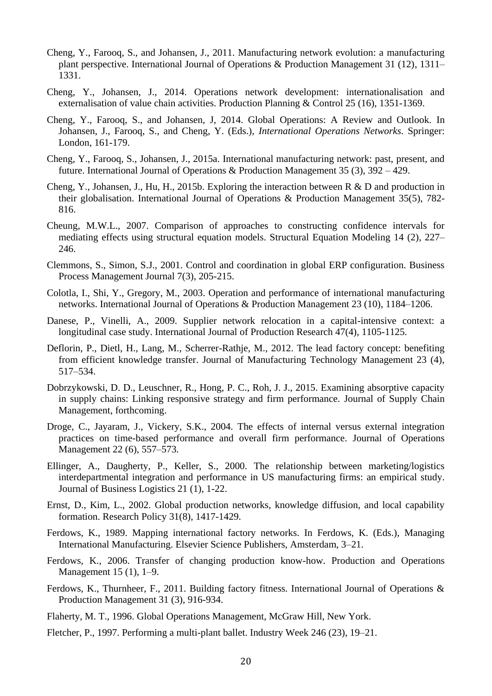- Cheng, Y., Farooq, S., and Johansen, J., 2011. Manufacturing network evolution: a manufacturing plant perspective. International Journal of Operations & Production Management 31 (12), 1311– 1331.
- Cheng, Y., Johansen, J., 2014. Operations network development: internationalisation and externalisation of value chain activities. Production Planning & Control 25 (16), 1351-1369.
- Cheng, Y., Farooq, S., and Johansen, J, 2014. Global Operations: A Review and Outlook. In Johansen, J., Farooq, S., and Cheng, Y. (Eds.), *International Operations Networks*. Springer: London, 161-179.
- Cheng, Y., Farooq, S., Johansen, J., 2015a. International manufacturing network: past, present, and future. International Journal of Operations & Production Management 35 (3),  $392 - 429$ .
- Cheng, Y., Johansen, J., Hu, H., 2015b. Exploring the interaction between R & D and production in their globalisation. International Journal of Operations & Production Management 35(5), 782- 816.
- Cheung, M.W.L., 2007. Comparison of approaches to constructing confidence intervals for mediating effects using structural equation models. Structural Equation Modeling 14 (2), 227– 246.
- Clemmons, S., Simon, S.J., 2001. Control and coordination in global ERP configuration. Business Process Management Journal 7(3), 205-215.
- Colotla, I., Shi, Y., Gregory, M., 2003. Operation and performance of international manufacturing networks. International Journal of Operations & Production Management 23 (10), 1184–1206.
- Danese, P., Vinelli, A., 2009. Supplier network relocation in a capital-intensive context: a longitudinal case study. International Journal of Production Research 47(4), 1105-1125.
- Deflorin, P., Dietl, H., Lang, M., Scherrer-Rathje, M., 2012. The lead factory concept: benefiting from efficient knowledge transfer. Journal of Manufacturing Technology Management 23 (4), 517–534.
- Dobrzykowski, D. D., Leuschner, R., Hong, P. C., Roh, J. J., 2015. Examining absorptive capacity in supply chains: Linking responsive strategy and firm performance. Journal of Supply Chain Management, forthcoming.
- Droge, C., Jayaram, J., Vickery, S.K., 2004. The effects of internal versus external integration practices on time-based performance and overall firm performance. Journal of Operations Management 22 (6), 557–573.
- Ellinger, A., Daugherty, P., Keller, S., 2000. The relationship between marketing/logistics interdepartmental integration and performance in US manufacturing firms: an empirical study. Journal of Business Logistics 21 (1), 1-22.
- Ernst, D., Kim, L., 2002. Global production networks, knowledge diffusion, and local capability formation. Research Policy 31(8), 1417-1429.
- Ferdows, K., 1989. Mapping international factory networks. In Ferdows, K. (Eds.), Managing International Manufacturing. Elsevier Science Publishers, Amsterdam, 3–21.
- Ferdows, K., 2006. Transfer of changing production know-how. Production and Operations Management 15 (1), 1–9.
- Ferdows, K., Thurnheer, F., 2011. Building factory fitness. International Journal of Operations & Production Management 31 (3), 916-934.
- Flaherty, M. T., 1996. Global Operations Management, McGraw Hill, New York.
- Fletcher, P., 1997. Performing a multi-plant ballet. Industry Week 246 (23), 19–21.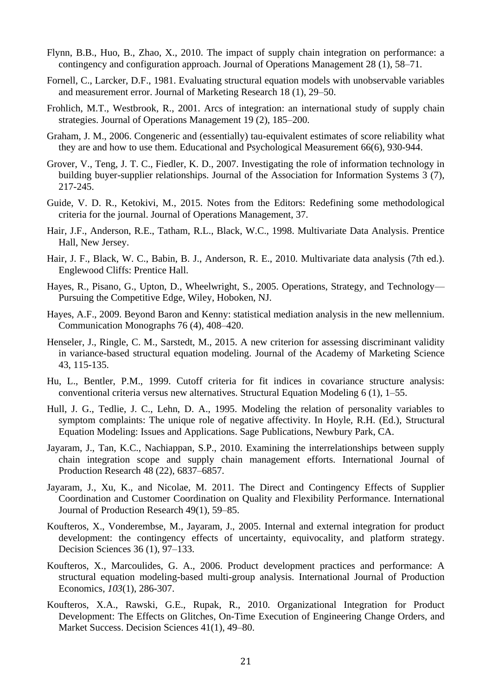- Flynn, B.B., Huo, B., Zhao, X., 2010. The impact of supply chain integration on performance: a contingency and configuration approach. Journal of Operations Management 28 (1), 58–71.
- Fornell, C., Larcker, D.F., 1981. Evaluating structural equation models with unobservable variables and measurement error. Journal of Marketing Research 18 (1), 29–50.
- Frohlich, M.T., Westbrook, R., 2001. Arcs of integration: an international study of supply chain strategies. Journal of Operations Management 19 (2), 185–200.
- Graham, J. M., 2006. Congeneric and (essentially) tau-equivalent estimates of score reliability what they are and how to use them. Educational and Psychological Measurement 66(6), 930-944.
- Grover, V., Teng, J. T. C., Fiedler, K. D., 2007. Investigating the role of information technology in building buyer-supplier relationships. Journal of the Association for Information Systems 3 (7), 217-245.
- Guide, V. D. R., Ketokivi, M., 2015. Notes from the Editors: Redefining some methodological criteria for the journal. Journal of Operations Management, 37.
- Hair, J.F., Anderson, R.E., Tatham, R.L., Black, W.C., 1998. Multivariate Data Analysis. Prentice Hall, New Jersey.
- Hair, J. F., Black, W. C., Babin, B. J., Anderson, R. E., 2010. Multivariate data analysis (7th ed.). Englewood Cliffs: Prentice Hall.
- Hayes, R., Pisano, G., Upton, D., Wheelwright, S., 2005. Operations, Strategy, and Technology— Pursuing the Competitive Edge, Wiley, Hoboken, NJ.
- Hayes, A.F., 2009. Beyond Baron and Kenny: statistical mediation analysis in the new mellennium. Communication Monographs 76 (4), 408–420.
- Henseler, J., Ringle, C. M., Sarstedt, M., 2015. A new criterion for assessing discriminant validity in variance-based structural equation modeling. Journal of the Academy of Marketing Science 43, 115-135.
- Hu, L., Bentler, P.M., 1999. Cutoff criteria for fit indices in covariance structure analysis: conventional criteria versus new alternatives. Structural Equation Modeling 6 (1), 1–55.
- Hull, J. G., Tedlie, J. C., Lehn, D. A., 1995. Modeling the relation of personality variables to symptom complaints: The unique role of negative affectivity. In Hoyle, R.H. (Ed.), Structural Equation Modeling: Issues and Applications. Sage Publications, Newbury Park, CA.
- Jayaram, J., Tan, K.C., Nachiappan, S.P., 2010. Examining the interrelationships between supply chain integration scope and supply chain management efforts. International Journal of Production Research 48 (22), 6837–6857.
- Jayaram, J., Xu, K., and Nicolae, M. 2011. The Direct and Contingency Effects of Supplier Coordination and Customer Coordination on Quality and Flexibility Performance. International Journal of Production Research 49(1), 59–85.
- Koufteros, X., Vonderembse, M., Jayaram, J., 2005. Internal and external integration for product development: the contingency effects of uncertainty, equivocality, and platform strategy. Decision Sciences 36 (1), 97–133.
- Koufteros, X., Marcoulides, G. A., 2006. Product development practices and performance: A structural equation modeling-based multi-group analysis. International Journal of Production Economics, *103*(1), 286-307.
- Koufteros, X.A., Rawski, G.E., Rupak, R., 2010. Organizational Integration for Product Development: The Effects on Glitches, On-Time Execution of Engineering Change Orders, and Market Success. Decision Sciences 41(1), 49–80.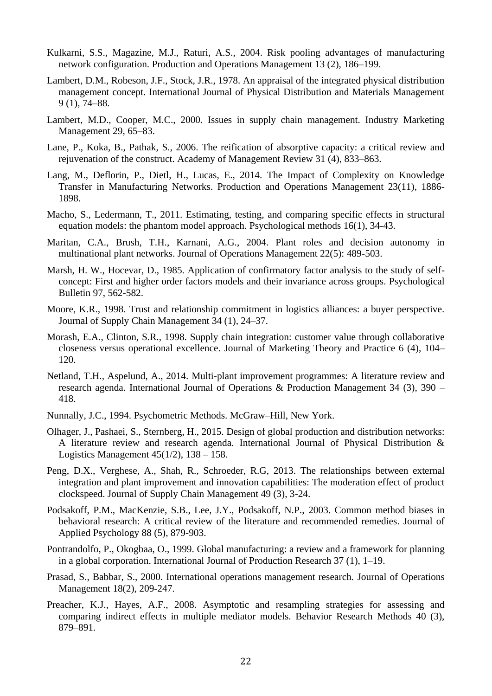- Kulkarni, S.S., Magazine, M.J., Raturi, A.S., 2004. Risk pooling advantages of manufacturing network configuration. Production and Operations Management 13 (2), 186–199.
- Lambert, D.M., Robeson, J.F., Stock, J.R., 1978. An appraisal of the integrated physical distribution management concept. International Journal of Physical Distribution and Materials Management 9 (1), 74–88.
- Lambert, M.D., Cooper, M.C., 2000. Issues in supply chain management. Industry Marketing Management 29, 65–83.
- Lane, P., Koka, B., Pathak, S., 2006. The reification of absorptive capacity: a critical review and rejuvenation of the construct. Academy of Management Review 31 (4), 833–863.
- Lang, M., Deflorin, P., Dietl, H., Lucas, E., 2014. The Impact of Complexity on Knowledge Transfer in Manufacturing Networks. Production and Operations Management 23(11), 1886- 1898.
- Macho, S., Ledermann, T., 2011. Estimating, testing, and comparing specific effects in structural equation models: the phantom model approach. Psychological methods 16(1), 34-43.
- Maritan, C.A., Brush, T.H., Karnani, A.G., 2004. Plant roles and decision autonomy in multinational plant networks. Journal of Operations Management 22(5): 489-503.
- Marsh, H. W., Hocevar, D., 1985. Application of confirmatory factor analysis to the study of selfconcept: First and higher order factors models and their invariance across groups. Psychological Bulletin 97, 562-582.
- Moore, K.R., 1998. Trust and relationship commitment in logistics alliances: a buyer perspective. Journal of Supply Chain Management 34 (1), 24–37.
- Morash, E.A., Clinton, S.R., 1998. Supply chain integration: customer value through collaborative closeness versus operational excellence. Journal of Marketing Theory and Practice 6 (4), 104– 120.
- Netland, T.H., Aspelund, A., 2014. Multi-plant improvement programmes: A literature review and research agenda. International Journal of Operations & Production Management 34 (3), 390 – 418.
- Nunnally, J.C., 1994. Psychometric Methods. McGraw–Hill, New York.
- Olhager, J., Pashaei, S., Sternberg, H., 2015. Design of global production and distribution networks: A literature review and research agenda. International Journal of Physical Distribution & Logistics Management  $45(1/2)$ ,  $138 - 158$ .
- Peng, D.X., Verghese, A., Shah, R., Schroeder, R.G, 2013. The relationships between external integration and plant improvement and innovation capabilities: The moderation effect of product clockspeed. Journal of Supply Chain Management 49 (3), 3-24.
- Podsakoff, P.M., MacKenzie, S.B., Lee, J.Y., Podsakoff, N.P., 2003. Common method biases in behavioral research: A critical review of the literature and recommended remedies. Journal of Applied Psychology 88 (5), 879-903.
- Pontrandolfo, P., Okogbaa, O., 1999. Global manufacturing: a review and a framework for planning in a global corporation. International Journal of Production Research 37 (1), 1–19.
- Prasad, S., Babbar, S., 2000. International operations management research. Journal of Operations Management 18(2), 209-247.
- Preacher, K.J., Hayes, A.F., 2008. Asymptotic and resampling strategies for assessing and comparing indirect effects in multiple mediator models. Behavior Research Methods 40 (3), 879–891.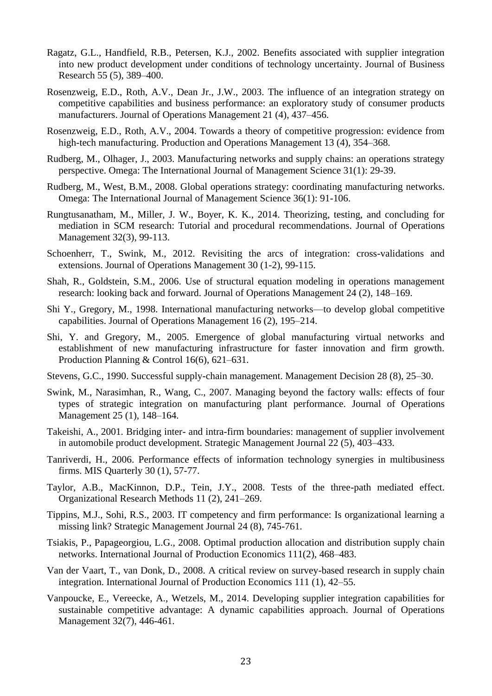- Ragatz, G.L., Handfield, R.B., Petersen, K.J., 2002. Benefits associated with supplier integration into new product development under conditions of technology uncertainty. Journal of Business Research 55 (5), 389–400.
- Rosenzweig, E.D., Roth, A.V., Dean Jr., J.W., 2003. The influence of an integration strategy on competitive capabilities and business performance: an exploratory study of consumer products manufacturers. Journal of Operations Management 21 (4), 437–456.
- Rosenzweig, E.D., Roth, A.V., 2004. Towards a theory of competitive progression: evidence from high-tech manufacturing. Production and Operations Management 13 (4), 354–368.
- Rudberg, M., Olhager, J., 2003. Manufacturing networks and supply chains: an operations strategy perspective. Omega: The International Journal of Management Science 31(1): 29-39.
- Rudberg, M., West, B.M., 2008. Global operations strategy: coordinating manufacturing networks. Omega: The International Journal of Management Science 36(1): 91-106.
- Rungtusanatham, M., Miller, J. W., Boyer, K. K., 2014. Theorizing, testing, and concluding for mediation in SCM research: Tutorial and procedural recommendations. Journal of Operations Management 32(3), 99-113.
- Schoenherr, T., Swink, M., 2012. Revisiting the arcs of integration: cross-validations and extensions. Journal of Operations Management 30 (1-2), 99-115.
- Shah, R., Goldstein, S.M., 2006. Use of structural equation modeling in operations management research: looking back and forward. Journal of Operations Management 24 (2), 148–169.
- Shi Y., Gregory, M., 1998. International manufacturing networks—to develop global competitive capabilities. Journal of Operations Management 16 (2), 195–214.
- Shi, Y. and Gregory, M., 2005. Emergence of global manufacturing virtual networks and establishment of new manufacturing infrastructure for faster innovation and firm growth. Production Planning & Control 16(6), 621–631.
- Stevens, G.C., 1990. Successful supply-chain management. Management Decision 28 (8), 25–30.
- Swink, M., Narasimhan, R., Wang, C., 2007. Managing beyond the factory walls: effects of four types of strategic integration on manufacturing plant performance. Journal of Operations Management 25 (1), 148–164.
- Takeishi, A., 2001. Bridging inter- and intra-firm boundaries: management of supplier involvement in automobile product development. Strategic Management Journal 22 (5), 403–433.
- Tanriverdi, H., 2006. Performance effects of information technology synergies in multibusiness firms. MIS Quarterly 30 (1), 57-77.
- Taylor, A.B., MacKinnon, D.P., Tein, J.Y., 2008. Tests of the three-path mediated effect. Organizational Research Methods 11 (2), 241–269.
- Tippins, M.J., Sohi, R.S., 2003. IT competency and firm performance: Is organizational learning a missing link? Strategic Management Journal 24 (8), 745-761.
- Tsiakis, P., Papageorgiou, L.G., 2008. Optimal production allocation and distribution supply chain networks. International Journal of Production Economics 111(2), 468–483.
- Van der Vaart, T., van Donk, D., 2008. A critical review on survey-based research in supply chain integration. International Journal of Production Economics 111 (1), 42–55.
- Vanpoucke, E., Vereecke, A., Wetzels, M., 2014. Developing supplier integration capabilities for sustainable competitive advantage: A dynamic capabilities approach. Journal of Operations Management 32(7), 446-461.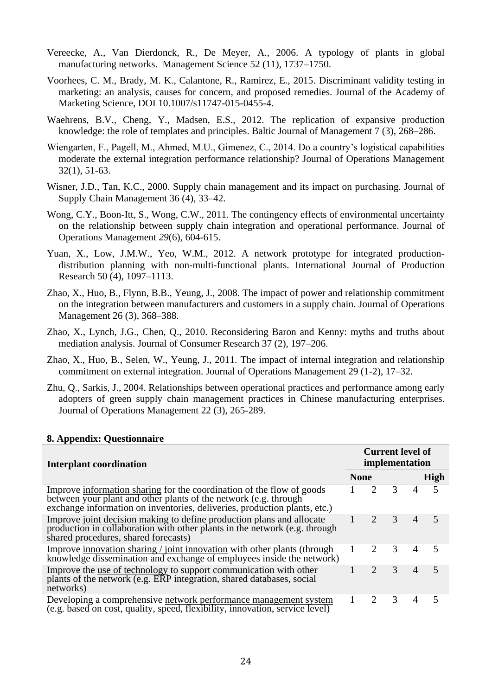- Vereecke, A., Van Dierdonck, R., De Meyer, A., 2006. A typology of plants in global manufacturing networks. Management Science 52 (11), 1737–1750.
- Voorhees, C. M., Brady, M. K., Calantone, R., Ramirez, E., 2015. Discriminant validity testing in marketing: an analysis, causes for concern, and proposed remedies. Journal of the Academy of Marketing Science, DOI 10.1007/s11747-015-0455-4.
- Waehrens, B.V., Cheng, Y., Madsen, E.S., 2012. The replication of expansive production knowledge: the role of templates and principles. Baltic Journal of Management 7 (3), 268–286.
- Wiengarten, F., Pagell, M., Ahmed, M.U., Gimenez, C., 2014. Do a country's logistical capabilities moderate the external integration performance relationship? Journal of Operations Management 32(1), 51-63.
- Wisner, J.D., Tan, K.C., 2000. Supply chain management and its impact on purchasing. Journal of Supply Chain Management 36 (4), 33–42.
- Wong, C.Y., Boon-Itt, S., Wong, C.W., 2011. The contingency effects of environmental uncertainty on the relationship between supply chain integration and operational performance. Journal of Operations Management *29*(6), 604-615.
- Yuan, X., Low, J.M.W., Yeo, W.M., 2012. A network prototype for integrated productiondistribution planning with non-multi-functional plants. International Journal of Production Research 50 (4), 1097–1113.
- Zhao, X., Huo, B., Flynn, B.B., Yeung, J., 2008. The impact of power and relationship commitment on the integration between manufacturers and customers in a supply chain. Journal of Operations Management 26 (3), 368–388.
- Zhao, X., Lynch, J.G., Chen, Q., 2010. Reconsidering Baron and Kenny: myths and truths about mediation analysis. Journal of Consumer Research 37 (2), 197–206.
- Zhao, X., Huo, B., Selen, W., Yeung, J., 2011. The impact of internal integration and relationship commitment on external integration. Journal of Operations Management 29 (1-2), 17–32.
- Zhu, Q., Sarkis, J., 2004. Relationships between operational practices and performance among early adopters of green supply chain management practices in Chinese manufacturing enterprises. Journal of Operations Management 22 (3), 265-289.

## **8. Appendix: Questionnaire**

| <b>Interplant coordination</b>                                                                                                                                                                                         | <b>Current level of</b><br>implementation |               |                |                |                |  |  |
|------------------------------------------------------------------------------------------------------------------------------------------------------------------------------------------------------------------------|-------------------------------------------|---------------|----------------|----------------|----------------|--|--|
|                                                                                                                                                                                                                        | <b>None</b>                               |               |                |                | <b>High</b>    |  |  |
| Improve information sharing for the coordination of the flow of goods<br>between your plant and other plants of the network (e.g. through<br>exchange information on inventories, deliveries, production plants, etc.) |                                           |               | 3              |                |                |  |  |
| Improve joint decision making to define production plans and allocate<br>production in collaboration with other plants in the network (e.g. through<br>shared procedures, shared forecasts)                            |                                           | $\mathcal{L}$ | 3 <sup>7</sup> | $\overline{4}$ | $\overline{5}$ |  |  |
| Improve innovation sharing / joint innovation with other plants (through<br>knowledge dissemination and exchange of employees inside the network)                                                                      |                                           |               | $\mathcal{F}$  | $\overline{4}$ | 5              |  |  |
| Improve the use of technology to support communication with other<br>plants of the network (e.g. ERP integration, shared databases, social<br>networks)                                                                |                                           |               | 3              | $\overline{4}$ | 5              |  |  |
| Developing a comprehensive network performance management system<br>(e.g. based on cost, quality, speed, flexibility, innovation, service level)                                                                       |                                           |               | 3              | 4              |                |  |  |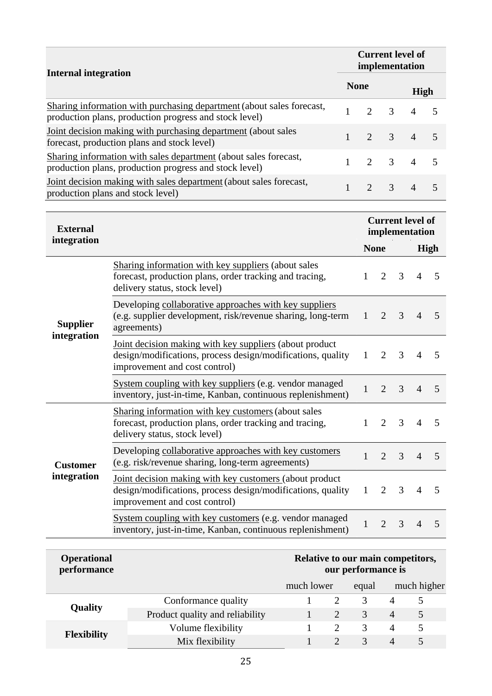| <b>Internal integration</b>                                                                                                     |                                                                                                                                                         |              | <b>Current level of</b><br>implementation |                |                                           |                |      |  |  |
|---------------------------------------------------------------------------------------------------------------------------------|---------------------------------------------------------------------------------------------------------------------------------------------------------|--------------|-------------------------------------------|----------------|-------------------------------------------|----------------|------|--|--|
|                                                                                                                                 |                                                                                                                                                         |              | <b>None</b>                               |                |                                           | High           |      |  |  |
| Sharing information with purchasing department (about sales forecast,<br>production plans, production progress and stock level) |                                                                                                                                                         | $\mathbf{1}$ | $\overline{2}$                            | 3              |                                           | $\overline{4}$ | 5    |  |  |
| Joint decision making with purchasing department (about sales<br>forecast, production plans and stock level)                    |                                                                                                                                                         | $\mathbf{1}$ | $\overline{2}$                            | 3              |                                           | $\overline{4}$ | 5    |  |  |
| Sharing information with sales department (about sales forecast,<br>production plans, production progress and stock level)      |                                                                                                                                                         | $\mathbf{1}$ | $\overline{2}$                            | 3              |                                           | $\overline{4}$ | 5    |  |  |
| Joint decision making with sales department (about sales forecast,<br>production plans and stock level)                         |                                                                                                                                                         | $\mathbf{1}$ | $\overline{2}$                            | 3              |                                           | $\overline{4}$ | 5    |  |  |
| <b>External</b>                                                                                                                 |                                                                                                                                                         |              |                                           |                | <b>Current level of</b><br>implementation |                |      |  |  |
| integration                                                                                                                     |                                                                                                                                                         |              |                                           | <b>None</b>    |                                           |                | High |  |  |
| <b>Supplier</b><br>integration                                                                                                  | Sharing information with key suppliers (about sales<br>forecast, production plans, order tracking and tracing,<br>delivery status, stock level)         |              | 1                                         | $\overline{2}$ | 3                                         | 4              | 5    |  |  |
|                                                                                                                                 | Developing collaborative approaches with key suppliers<br>(e.g. supplier development, risk/revenue sharing, long-term<br>agreements)                    |              |                                           |                | 3                                         | 4              | 5    |  |  |
|                                                                                                                                 | Joint decision making with key suppliers (about product<br>design/modifications, process design/modifications, quality<br>improvement and cost control) |              |                                           |                |                                           | 4              | 5    |  |  |
|                                                                                                                                 | System coupling with key suppliers (e.g. vendor managed<br>inventory, just-in-time, Kanban, continuous replenishment)                                   |              |                                           | $\overline{2}$ | 3                                         | $\overline{A}$ | 5    |  |  |
| <b>Customer</b><br>integration                                                                                                  | Sharing information with key customers (about sales<br>forecast, production plans, order tracking and tracing,<br>delivery status, stock level)         |              |                                           |                | 3                                         | 4              | 5    |  |  |
|                                                                                                                                 | Developing collaborative approaches with key customers<br>(e.g. risk/revenue sharing, long-term agreements)                                             |              |                                           |                | 3                                         | $\overline{4}$ | 5    |  |  |
|                                                                                                                                 | Joint decision making with key customers (about product<br>design/modifications, process design/modifications, quality<br>improvement and cost control) |              |                                           | $\overline{2}$ | 3                                         | 4              | 5    |  |  |
|                                                                                                                                 | System coupling with key customers (e.g. vendor managed<br>inventory, just-in-time, Kanban, continuous replenishment)                                   |              | 1                                         | $\overline{2}$ | 3                                         | $\overline{4}$ | 5    |  |  |

| <b>Operational</b><br>performance |                                 | Relative to our main competitors,<br>our performance is |       |               |                |   |  |  |  |
|-----------------------------------|---------------------------------|---------------------------------------------------------|-------|---------------|----------------|---|--|--|--|
|                                   |                                 | much lower                                              | equal | much higher   |                |   |  |  |  |
| <b>Quality</b>                    | Conformance quality             |                                                         |       |               | 4              |   |  |  |  |
|                                   | Product quality and reliability |                                                         |       | 3             | $\overline{4}$ | 5 |  |  |  |
| <b>Flexibility</b>                | Volume flexibility              |                                                         |       | $\mathcal{F}$ | 4              | 5 |  |  |  |
|                                   | Mix flexibility                 |                                                         |       | $\mathcal{R}$ | 4              | 5 |  |  |  |